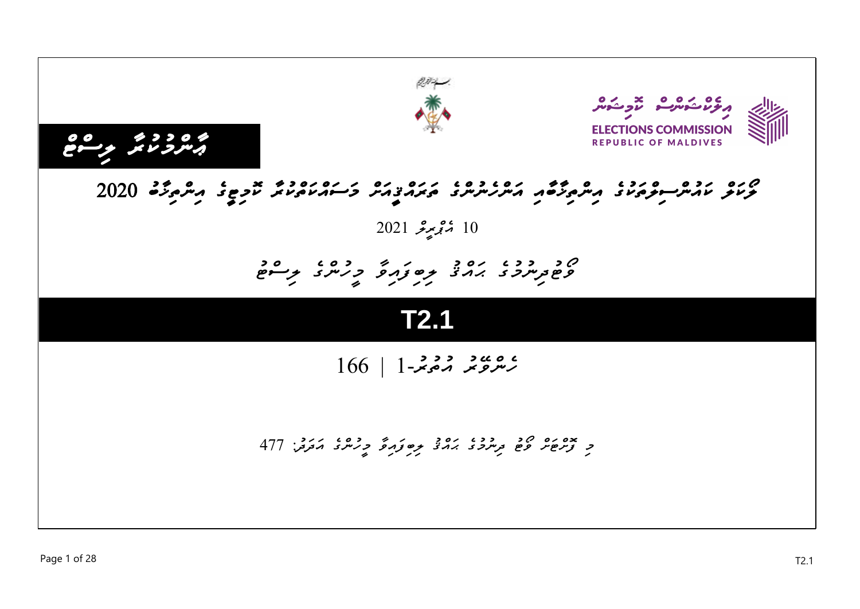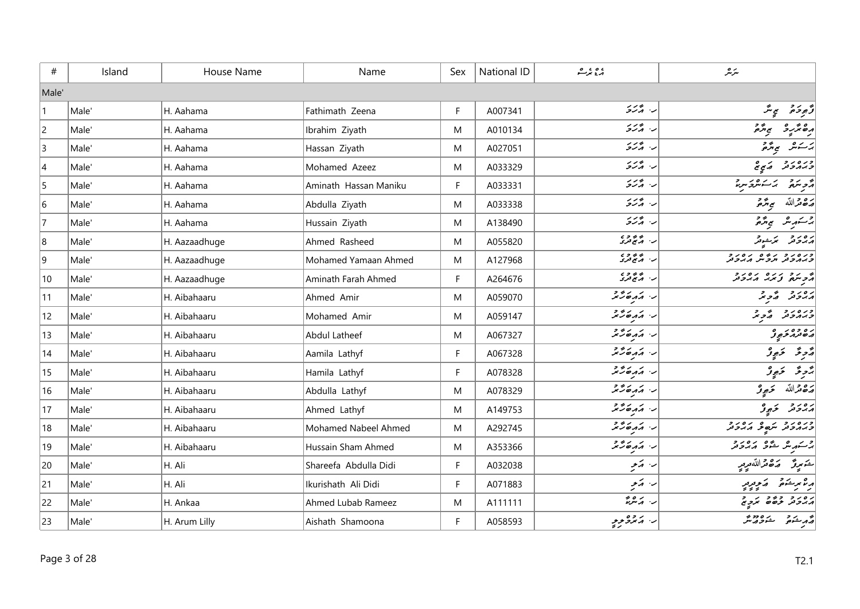| #               | Island | House Name    | Name                  | Sex       | National ID | ، ه ، بر <u>م</u>           | ىئرىتر                                                                                                |
|-----------------|--------|---------------|-----------------------|-----------|-------------|-----------------------------|-------------------------------------------------------------------------------------------------------|
| Male'           |        |               |                       |           |             |                             |                                                                                                       |
| 1               | Male'  | H. Aahama     | Fathimath Zeena       | F         | A007341     | ر. ءَرَدَ                   | تۇپوخۇ پېتر                                                                                           |
| 2               | Male'  | H. Aahama     | Ibrahim Ziyath        | M         | A010134     | ر بەرىر                     | ە ھەترىرى<br>م<br>پر ۾<br>مخ افراد                                                                    |
| $\vert$ 3       | Male'  | H. Aahama     | Hassan Ziyath         | M         | A027051     | ر. بۇزۇ                     | بر کے ملک ہے ہڑھی                                                                                     |
| $\vert 4$       | Male'  | H. Aahama     | Mohamed Azeez         | M         | A033329     | ر بەرىر                     | כנסנכ גם                                                                                              |
| $\overline{5}$  | Male'  | H. Aahama     | Aminath Hassan Maniku | F.        | A033331     | ر. بۇزۇ                     | م المعلم المستقرح المحمد المحمد المحمد المحمد المحمد المحمد المحمد المحمد المحمد المحمد المحمد المحمد |
| $\vert 6 \vert$ | Male'  | H. Aahama     | Abdulla Ziyath        | M         | A033338     | ر. پۇرىخ                    | پره قرالله پر پر گرمو                                                                                 |
| 7               | Male'  | H. Aahama     | Hussain Ziyath        | M         | A138490     | ر. بۇزۇ                     | 2 سەمەھرىمى ئىقرىمى<br> -                                                                             |
| 8               | Male'  | H. Aazaadhuge | Ahmed Rasheed         | ${\sf M}$ | A055820     | ر به عرو د<br>ر به هم تور   | أبره رو برشوش                                                                                         |
| 9               | Male'  | H. Aazaadhuge | Mohamed Yamaan Ahmed  | M         | A127968     | ر به ۱۶۶۶<br>ر به دمنج توری | כנסגב גם גסגב<br>כגמבנג מבית הגבת                                                                     |
| $ 10\rangle$    | Male'  | H. Aazaadhuge | Aminath Farah Ahmed   | F         | A264676     | ر به ۱۶۶۶<br>ر به همچ توری  | أدوسي ويرو بره دو                                                                                     |
| 11              | Male'  | H. Aibahaaru  | Ahmed Amir            | M         | A059070     | ر. "دره ژنر                 | رەرو ھەج                                                                                              |
| 12              | Male'  | H. Aibahaaru  | Mohamed Amir          | M         | A059147     | ر. "دره ژنر                 |                                                                                                       |
| 13              | Male'  | H. Aibahaaru  | Abdul Latheef         | M         | A067327     | ر. مەمۇرىمى                 | رە دەر <sub>كې</sub> رو                                                                               |
| 14              | Male'  | H. Aibahaaru  | Aamila Lathyf         | F         | A067328     | ر. مەمەتتىر                 | د و د دور                                                                                             |
| 15              | Male'  | H. Aibahaaru  | Hamila Lathyf         | F         | A078328     | $\frac{226}{10}$            | رُوِدٌ دَوِدٌ                                                                                         |
| 16              | Male'  | H. Aibahaaru  | Abdulla Lathyf        | M         | A078329     | ر. مەمەتىر                  | ة معرالله<br>ځ چ و                                                                                    |
| 17              | Male'  | H. Aibahaaru  | Ahmed Lathyf          | M         | A149753     | ر. مەھەرىمى                 | دەر دې توپۇ                                                                                           |
| 18              | Male'  | H. Aibahaaru  | Mohamed Nabeel Ahmed  | M         | A292745     | ر. مەھەرىمە                 | ورەرو برەپروتر                                                                                        |
| 19              | Male'  | H. Aibahaaru  | Hussain Sham Ahmed    | M         | A353366     | ر. "ەرەرگە                  | ج مسكر مشرق المراكز و را در و                                                                         |
| 20              | Male'  | H. Ali        | Shareefa Abdulla Didi | F         | A032038     | ر، مەتر                     | ڪس <i>يوگر ڪن</i> ھ تراللّه مرمر                                                                      |
| 21              | Male'  | H. Ali        | Ikurishath Ali Didi   | F.        | A071883     | ر آرم                       | أرع يريشكم فللمتح ويرتر                                                                               |
| 22              | Male'  | H. Ankaa      | Ahmed Lubab Rameez    | M         | A111111     | ر بە ئەرىئە                 | ر و د د و و د د و                                                                                     |
| 23              | Male'  | H. Arum Lilly | Aishath Shamoona      | F.        | A058593     | ر دره و د<br>ر              | أحمد شده و در ۱۳۵۵ مر                                                                                 |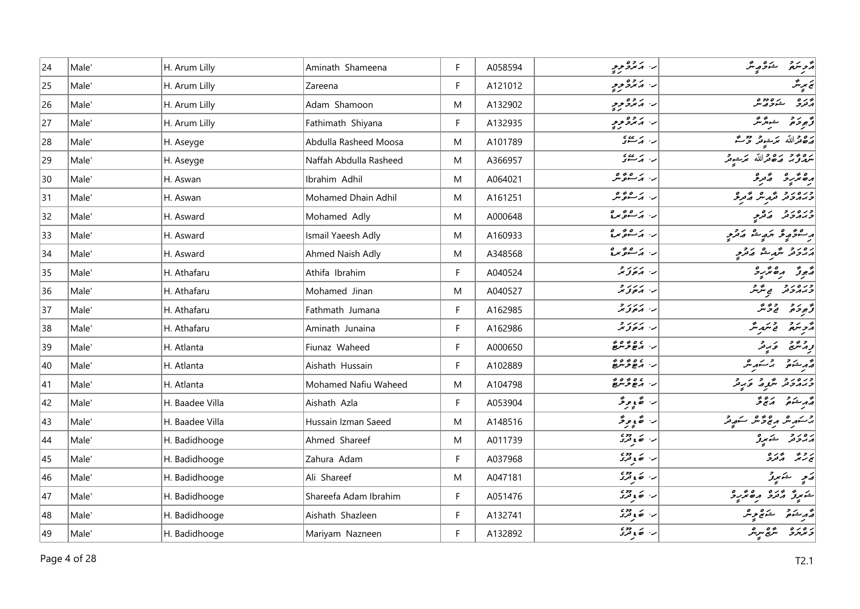| 24           | Male' | H. Arum Lilly   | Aminath Shameena       | F         | A058594 | ر بە ئەتروپۇر             |                                       |
|--------------|-------|-----------------|------------------------|-----------|---------|---------------------------|---------------------------------------|
| 25           | Male' | H. Arum Lilly   | Zareena                | F         | A121012 | ر . روه وو                | ئەمبەيتىر<br>ئ                        |
| 26           | Male' | H. Arum Lilly   | Adam Shamoon           | M         | A132902 | ر . روه وو                | ر<br>پر تر و<br>شەھ جو ھ              |
| 27           | Male' | H. Arum Lilly   | Fathimath Shiyana      | F         | A132935 | ب دروه دو                 | توجو في الشرير                        |
| 28           | Male' | H. Aseyge       | Abdulla Rasheed Moosa  | M         | A101789 | ر به کرمندی               | رە قراللە برىدو 3 م                   |
| 29           | Male' | H. Aseyge       | Naffah Abdulla Rasheed | M         | A366957 | ر. مرتبعی                 | برە بەج بەھ تراللە برىنوتر            |
| 30           | Male' | H. Aswan        | Ibrahim Adhil          | M         | A064021 | ر. ئەستوپىر               | رە ئرىر ئەرگى                         |
| 31           | Male' | H. Aswan        | Mohamed Dhain Adhil    | ${\sf M}$ | A161251 | ر. ئەسىۋىتر               | ورەرو مەرھ گورى                       |
| 32           | Male' | H. Asward       | Mohamed Adly           | ${\sf M}$ | A000648 | ر. مەسشۇرىي               | ورەر دەر دەر                          |
| 33           | Male' | H. Asward       | Ismail Yaeesh Adly     | M         | A160933 | ر. مەسشۇرىي               | أبر سادة برقر عبد المستردين المستردين |
| 34           | Male' | H. Asward       | Ahmed Naish Adly       | M         | A348568 | ر. مەسشۇرىي               | أرور ومحمد المحمد المحمدة             |
| 35           | Male' | H. Athafaru     | Athifa Ibrahim         | F         | A040524 | ر، پەرى تە                | أموز مقدرة                            |
| 36           | Male' | H. Athafaru     | Mohamed Jinan          | M         | A040527 | ر. رژور و                 | ورەرو بەشر                            |
| 37           | Male' | H. Athafaru     | Fathmath Jumana        | F         | A162985 | ر، مەدىر                  | و و دو پر                             |
| 38           | Male' | H. Athafaru     | Aminath Junaina        | F         | A162986 | ر . مەدى ئى               | أأدوسكم فالمتمر مثر                   |
| 39           | Male' | H. Atlanta      | Fiunaz Waheed          | F         | A000650 | ر. گەۋگە ھۇس              | و پر شيخ ځې تر                        |
| 40           | Male' | H. Atlanta      | Aishath Hussain        | F         | A102889 | ، مع تر مع                | ە ئەستىق برگىتورىش                    |
| 41           | Male' | H. Atlanta      | Mohamed Nafiu Waheed   | M         | A104798 | ر، مع تر شع               | ورەرو شرە ئەر                         |
| 42           | Male' | H. Baadee Villa | Aishath Azla           | F         | A053904 | ر. ھُ۽ وِڄَّ              | وكرم شكوه والمحافر                    |
| $ 43\rangle$ | Male' | H. Baadee Villa | Hussain Izman Saeed    | M         | A148516 | ر. ځې وگړ                 | ج سەمەھ مەنج ۋىكە سەمەقر              |
| 44           | Male' | H. Badidhooge   | Ahmed Shareef          | ${\sf M}$ | A011739 | ر به خود و<br>ر که وتری   | رەرد شەرە                             |
| 45           | Male' | H. Badidhooge   | Zahura Adam            | F         | A037968 | ر به حوص<br>ر که عرض      | پر دی پر پره                          |
| 46           | Male' | H. Badidhooge   | Ali Shareef            | ${\sf M}$ | A047181 | د به دوه<br>ر که دری      | پر چې سندېږيز                         |
| 47           | Male' | H. Badidhooge   | Shareefa Adam Ibrahim  | F         | A051476 | ر به کاروی<br>ر کارونوی   | شهرق أنرو المعتبر                     |
| 48           | Male' | H. Badidhooge   | Aishath Shazleen       | F         | A132741 | ر به حود و<br>ر که و توری | ۇرمىقو ھەج بېرىر                      |
| 49           | Male' | H. Badidhooge   | Mariyam Nazneen        | F         | A132892 | ر به حوج<br>ر که وتری     | رەرە شەرپۇر                           |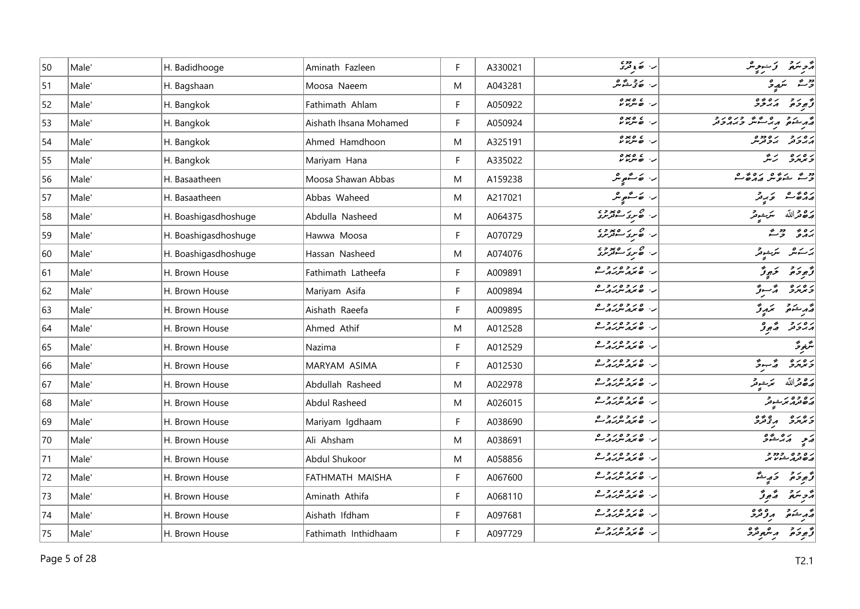| 50 | Male' | H. Badidhooge        | Aminath Fazleen        | F           | A330021 | ر . که ۶۵ وی<br>ر . که ۶ توری                                                                | أأوسكم وكسور                                                                                             |
|----|-------|----------------------|------------------------|-------------|---------|----------------------------------------------------------------------------------------------|----------------------------------------------------------------------------------------------------------|
| 51 | Male' | H. Bagshaan          | Moosa Naeem            | M           | A043281 | ر. ٷڗٟٛ؊ؚٞۺ                                                                                  | $\begin{array}{cc} 0 & \frac{1}{2} & \frac{1}{2} \\ \frac{1}{2} & \frac{1}{2} & \frac{1}{2} \end{array}$ |
| 52 | Male' | H. Bangkok           | Fathimath Ahlam        | F           | A050922 | $\overset{\circ}{\mathcal{H}}\overset{\circ}{\mathcal{H}}\overset{\circ}{\mathcal{H}}\cdots$ | ەرەپەە<br>ا تو پر تر د                                                                                   |
| 53 | Male' | H. Bangkok           | Aishath Ihsana Mohamed | F           | A050924 | $\overset{o\times o\times c}{\phantom{o}}$ .                                                 | د.<br>د کرم شوی اور کرمن کرد کرد و تر                                                                    |
| 54 | Male' | H. Bangkok           | Ahmed Hamdhoon         | ${\sf M}$   | A325191 | $\overset{o\times o}{\phantom{o}}\,\overset{c}{\phantom{o}}\,\ldots\,$                       | גפי כי הפרבים                                                                                            |
| 55 | Male' | H. Bangkok           | Mariyam Hana           | F           | A335022 | ، ئەمەدە<br>ر. ئ                                                                             | رەرە ئەگ                                                                                                 |
| 56 | Male' | H. Basaatheen        | Moosa Shawan Abbas     | M           | A159238 | ر. ئۆگىمۇش                                                                                   | دو مع معرض ده ده م                                                                                       |
| 57 | Male' | H. Basaatheen        | Abbas Waheed           | M           | A217021 | رە ئەشھەپىر                                                                                  | دە ئەر ئەر                                                                                               |
| 58 | Male' | H. Boashigasdhoshuge | Abdulla Nasheed        | M           | A064375 | ر چه در ۲۵ د و د<br>ر هم دی سوتوری                                                           | مەھىراللە<br>سرمشوقر                                                                                     |
| 59 | Male' | H. Boashigasdhoshuge | Hawwa Moosa            | F           | A070729 |                                                                                              | پره په په پیښه                                                                                           |
| 60 | Male' | H. Boashigasdhoshuge | Hassan Nasheed         | M           | A074076 |                                                                                              | ىز سىكىش ئىكرىشوقى                                                                                       |
| 61 | Male' | H. Brown House       | Fathimath Latheefa     | F           | A009891 | ه در ده در د ه                                                                               | و بر د<br>تر موځ مو<br>تحبج وگر                                                                          |
| 62 | Male' | H. Brown House       | Mariyam Asifa          | $\mathsf F$ | A009894 | ه در ده در د ه                                                                               | ر ه ر ه<br><del>ر</del> بربر ژ<br>ە ئەسىرىتى                                                             |
| 63 | Male' | H. Brown House       | Aishath Raeefa         | F           | A009895 | ه د د وه د د ه<br>پ ه <i>پروس پ</i> رو ه                                                     | مەر شەمۇر ئىمەر ئى                                                                                       |
| 64 | Male' | H. Brown House       | Ahmed Athif            | M           | A012528 | ه در ده در د ه                                                                               | ره رحم و هم                                                                                              |
| 65 | Male' | H. Brown House       | Nazima                 | F           | A012529 | ر. ھىردىرىرى                                                                                 | متثفجر                                                                                                   |
| 66 | Male' | H. Brown House       | MARYAM ASIMA           | F           | A012530 | ه در ده در د ه                                                                               | ر ه ر ه<br><del>و</del> بربرو<br>رژ-بەر                                                                  |
| 67 | Male' | H. Brown House       | Abdullah Rasheed       | M           | A022978 | ر. ھىمەمەردە م                                                                               | برە تراللە<br>بخرشوقر                                                                                    |
| 68 | Male' | H. Brown House       | <b>Abdul Rasheed</b>   | M           | A026015 | ه در ده در د ه                                                                               | رە دە بر<br>ئەھەر ئەسبەتر                                                                                |
| 69 | Male' | H. Brown House       | Mariyam Igdhaam        | F           | A038690 | $2, 2, 2, 3, 2, 6$ .                                                                         | ر ہ ر ہ<br>تر ہر ہر ہے کر                                                                                |
| 70 | Male' | H. Brown House       | Ali Ahsham             | ${\sf M}$   | A038691 | ه د د وه د د ه<br>پاسه همدس                                                                  | $\begin{bmatrix} 2 & 2 & 3 & 3 \ 2 & 2 & 3 & 3 \ 3 & 3 & 3 & 3 \end{bmatrix}$                            |
| 71 | Male' | H. Brown House       | Abdul Shukoor          | M           | A058856 | ه <i>بر د</i> ه بر د ه<br>پ <sub>ن</sub> ه <i>مه مربر ک</i>                                  | ر ٥ ۶ ٥ ٥ ۶ م.<br>در ۱۵ تر در شرح بر                                                                     |
| 72 | Male' | H. Brown House       | FATHMATH MAISHA        | F           | A067600 | ر. ۰٫۰٫۰٫۰٫۰٫۰۰                                                                              | أراوحو أوالمحمومة                                                                                        |
| 73 | Male' | H. Brown House       | Aminath Athifa         | F           | A068110 | 2, 2, 2, 3, 2, 8                                                                             | رحمي وتح<br>لمجمعبه حميتم                                                                                |
| 74 | Male' | H. Brown House       | Aishath Ifdham         | F           | A097681 | ، صرومبرد م                                                                                  | ەر ۋىژى<br>ر<br>دگرار شومی                                                                               |
| 75 | Male' | H. Brown House       | Fathimath Inthidhaam   | F           | A097729 | ر. ھىردىرىرى                                                                                 | ژُودو مگوند                                                                                              |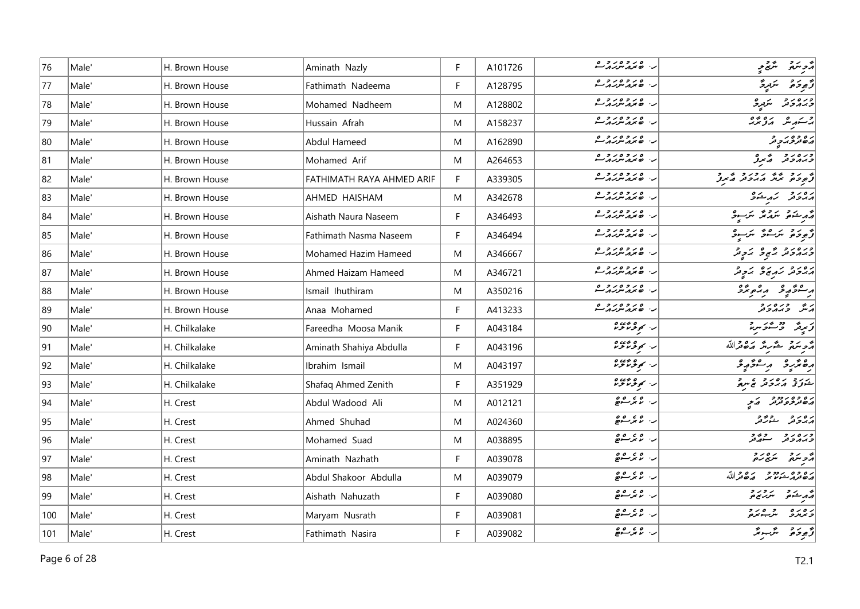| 76  | Male' | H. Brown House | Aminath Nazly             | F         | A101726 | ر. ۰٫۰٫۰٫۰٫۰٫۰                    | أأرمر ترة<br>يتميح محي                       |
|-----|-------|----------------|---------------------------|-----------|---------|-----------------------------------|----------------------------------------------|
| 77  | Male' | H. Brown House | Fathimath Nadeema         | F         | A128795 | ، صرر مرد م                       | ا تڙجو خرچ                                   |
| 78  | Male' | H. Brown House | Mohamed Nadheem           | M         | A128802 | ر. ھىردىرىرى                      | و ر ه ر و<br><i>و پر پر</i> وتر<br>سربرو     |
| 79  | Male' | H. Brown House | Hussain Afrah             | M         | A158237 | ، صرومبرد م                       | برە بور<br>لجيسكور يثر                       |
| 80  | Male' | H. Brown House | <b>Abdul Hameed</b>       | M         | A162890 | ه در ده در د ه                    | ره وه ر<br>مه فروبر د تر                     |
| 81  | Male' | H. Brown House | Mohamed Arif              | M         | A264653 | ه د د وه د د ه<br>پن هغه سربر د ک | ورەر د ئەر                                   |
| 82  | Male' | H. Brown House | FATHIMATH RAYA AHMED ARIF | F         | A339305 | ه در ده در د ه                    | و د د په د در د په د                         |
| 83  | Male' | H. Brown House | AHMED HAISHAM             | ${\sf M}$ | A342678 | ر. صرح مرد م                      | أرەرو كەيدە                                  |
| 84  | Male' | H. Brown House | Aishath Naura Naseem      | F         | A346493 | ە بەر <i>دەر دە</i>               | أقهر شوقو المرواحي الكرسوفى                  |
| 85  | Male' | H. Brown House | Fathimath Nasma Naseem    | F         | A346494 | ، صرومبرد م                       | أؤج برو الراعاة الكرسور                      |
| 86  | Male' | H. Brown House | Mohamed Hazim Hameed      | M         | A346667 | ر. ھىمەمىرىدىم ب                  | ورەرو پى ئەچ                                 |
| 87  | Male' | H. Brown House | Ahmed Haizam Hameed       | M         | A346721 | ه در ده در د ه                    | גפני הגבל הביל                               |
| 88  | Male' | H. Brown House | Ismail Ihuthiram          | M         | A350216 | $2, 2, 2, 3, 2, 6$ .              | وڪوڻو ورمورو                                 |
| 89  | Male' | H. Brown House | Anaa Mohamed              | F         | A413233 | ه در ده در ده<br>په هغه سربرا     | برش وره رو                                   |
| 90  | Male' | H. Chilkalake  | Fareedha Moosa Manik      | F         | A043184 | ر. محولاتور<br>ر. محولاتور        | أزيريد ومشوسره                               |
| 91  | Male' | H. Chilkalake  | Aminath Shahiya Abdulla   | F         | A043196 | ر . محوظ عربه <i>ه</i>            | أُمُّحِ سَمَعَ مُتَّمَرِ مُرَّةً مُدَاللَّهُ |
| 92  | Male' | H. Chilkalake  | Ibrahim Ismail            | M         | A043197 | ر به نورگی در                     | رەندىر دىسىۋېر                               |
| 93  | Male' | H. Chilkalake  | Shafaq Ahmed Zenith       | F         | A351929 | ر به وی دی ه                      | شكوتى كالرواح فالمرج                         |
| 94  | Male' | H. Crest       | Abdul Wadood Ali          | M         | A012121 | ر. رو پر صدي                      | ر ه و ه رود و .<br>در ه تر تر تر و .         |
| 95  | Male' | H. Crest       | Ahmed Shuhad              | M         | A024360 | ر، روپرے م                        | ره رح در در<br>پرکاتر شوگور                  |
| 96  | Male' | H. Crest       | Mohamed Suad              | M         | A038895 | ر، روپرے م                        | ور ور و و و و<br>تربر بروتر مستورتر          |
| 97  | Male' | H. Crest       | Aminath Nazhath           | F.        | A039078 | ر، الإعراق<br>ر، الإعراق          | و دره سره ده د                               |
| 98  | Male' | H. Crest       | Abdul Shakoor Abdulla     | M         | A039079 | ر، رو پر شی                       | ره وه بردو و ده د الله                       |
| 99  | Male' | H. Crest       | Aishath Nahuzath          | F         | A039080 | ر، روپر صدی                       |                                              |
| 100 | Male' | H. Crest       | Maryam Nusrath            | F         | A039081 | ر، روپر صدی                       | ر ه ر ه<br><del>ر</del> بربر د<br>بترب وبر د |
| 101 | Male' | H. Crest       | Fathimath Nasira          | F         | A039082 | ر، روپرے م                        | ۇۋۇۋە سەببەر                                 |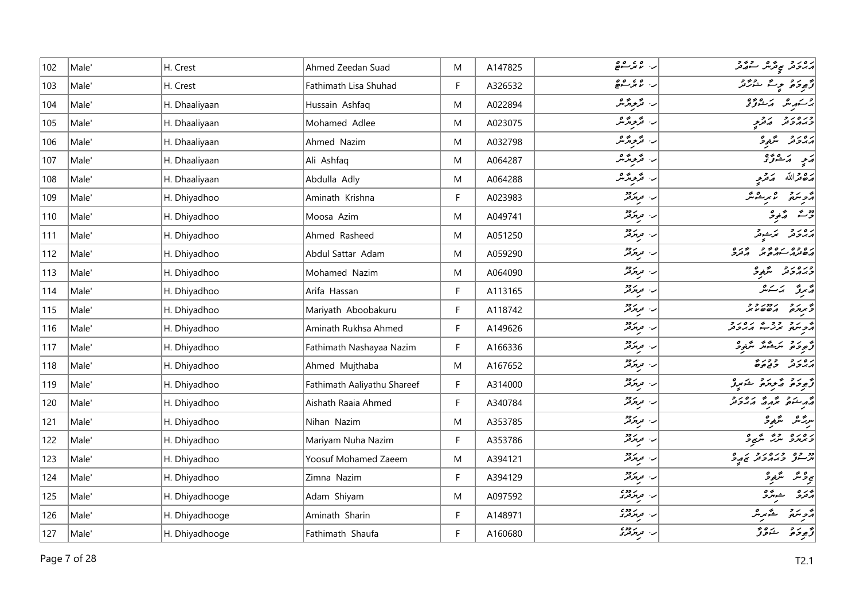| 102 | Male' | H. Crest       | Ahmed Zeedan Suad           | ${\sf M}$   | A147825 | ر. ۱۶ ترشیح                | أرور و پرتگر مستقافته                                                                                                                                 |
|-----|-------|----------------|-----------------------------|-------------|---------|----------------------------|-------------------------------------------------------------------------------------------------------------------------------------------------------|
| 103 | Male' | H. Crest       | Fathimath Lisa Shuhad       | F.          | A326532 | ر، رو پر صفح               | و دو په دووو                                                                                                                                          |
| 104 | Male' | H. Dhaaliyaan  | Hussain Ashfaq              | M           | A022894 | ر. قروقرمر                 | چرىسى كەشۈرى                                                                                                                                          |
| 105 | Male' | H. Dhaaliyaan  | Mohamed Adlee               | M           | A023075 | ر. قروقرمر                 | وره د د د د                                                                                                                                           |
| 106 | Male' | H. Dhaaliyaan  | Ahmed Nazim                 | M           | A032798 | ر. قرَّمْ قريم             | رەر ئەھمى                                                                                                                                             |
| 107 | Male' | H. Dhaaliyaan  | Ali Ashfaq                  | M           | A064287 | ر. قروقرمر                 | أەسم مەشىرى                                                                                                                                           |
| 108 | Male' | H. Dhaaliyaan  | Abdulla Adly                | M           | A064288 | ر . قَرْمِهْرٌسْ           | پره ترالله پرترمي                                                                                                                                     |
| 109 | Male' | H. Dhiyadhoo   | Aminath Krishna             | $\mathsf F$ | A023983 | ر. ترپروژ<br>بر            | أأديتم المتحفظ                                                                                                                                        |
| 110 | Male' | H. Dhiyadhoo   | Moosa Azim                  | M           | A049741 | ر. مریز دو                 | اتر شه محمد محمد من المحمد السياسي.<br>المحمد المحمد المحمد المحمد المحمد المحمد المحمد المحمد المحمد المحمد المحمد المحمد المحمد المحمد المحمد المحم |
| 111 | Male' | H. Dhiyadhoo   | Ahmed Rasheed               | M           | A051250 | ر. توپژوژ                  | رەر تەرىپىدۇ.<br>مەركى تەش <sub>ە</sub> ر                                                                                                             |
| 112 | Male' | H. Dhiyadhoo   | Abdul Sattar Adam           | M           | A059290 | ار. مریز در<br>—           | ג ם כם גם <i>גב בג</i> ם<br>השינה - יה <i>פ</i> א הינג                                                                                                |
| 113 | Male' | H. Dhiyadhoo   | Mohamed Nazim               | M           | A064090 | ر . توپروژ<br>مر           | ورەر ئەرۋ                                                                                                                                             |
| 114 | Male' | H. Dhiyadhoo   | Arifa Hassan                | F.          | A113165 | ر. مریز دو                 | ە ئىرق ئەسكىلى                                                                                                                                        |
| 115 | Male' | H. Dhiyadhoo   | Mariyath Aboobakuru         | $\mathsf F$ | A118742 | ر. تر پروو<br>مر           | בצתם נמטיב                                                                                                                                            |
| 116 | Male' | H. Dhiyadhoo   | Aminath Rukhsa Ahmed        | $\mathsf F$ | A149626 | ر. ترپروژ<br>بر            | و مرد دور در در در د                                                                                                                                  |
| 117 | Male' | H. Dhiyadhoo   | Fathimath Nashayaa Nazim    | F           | A166336 | ر . توپرتو<br>ر            | وتجوحا مريشاته لتراوي                                                                                                                                 |
| 118 | Male' | H. Dhiyadhoo   | Ahmed Mujthaba              | M           | A167652 | ر. توپروژ                  | נ סניכן ברנטי<br>הגיביה בביקים                                                                                                                        |
| 119 | Male' | H. Dhiyadhoo   | Fathimath Aaliyathu Shareef | F           | A314000 | ر. مریز دو<br>بر           | وتجوده كالمرمانة المالمور                                                                                                                             |
| 120 | Male' | H. Dhiyadhoo   | Aishath Raaia Ahmed         | F.          | A340784 | ر . توپروژ<br>ر            | ה.<br>האנשים בתה ההכת                                                                                                                                 |
| 121 | Male' | H. Dhiyadhoo   | Nihan Nazim                 | M           | A353785 | ار. وروده<br>——            | سربر سمعود                                                                                                                                            |
| 122 | Male' | H. Dhiyadhoo   | Mariyam Nuha Nazim          | F           | A353786 | ر. ترپروژ<br>مر            | رەرە دە شەر                                                                                                                                           |
| 123 | Male' | H. Dhiyadhoo   | Yoosuf Mohamed Zaeem        | M           | A394121 | ر. ترپروژ<br>بر            | מ כם כמסמכ מתכ                                                                                                                                        |
| 124 | Male' | H. Dhiyadhoo   | Zimna Nazim                 | F           | A394129 | ر. ترپروژ<br>مر            | ى <sub>ر</sub> وتىر ش <sub>ەر</sub> و                                                                                                                 |
| 125 | Male' | H. Dhiyadhooge | Adam Shiyam                 | M           | A097592 | ر. تر پڙوي<br>ر. ترپرتري   | و ده ده در ده<br>مرکز در سوارگر                                                                                                                       |
| 126 | Male' | H. Dhiyadhooge | Aminath Sharin              | F           | A148971 | ر . تو پر وو ،<br>مر       | أرمز<br>مشمرشر                                                                                                                                        |
| 127 | Male' | H. Dhiyadhooge | Fathimath Shaufa            | F           | A160680 | ار. وروزه ده<br>ار. وپرتور | أقرجر ومردمة                                                                                                                                          |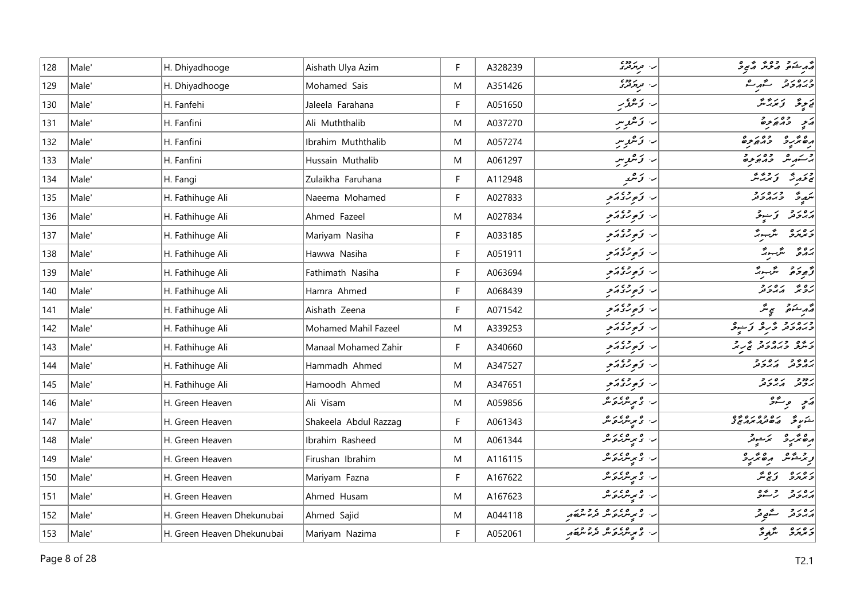| 128 | Male' | H. Dhiyadhooge             | Aishath Ulya Azim     | F  | A328239 | ر. توپرتوری<br>ر. توپرتوری        |                                                       |
|-----|-------|----------------------------|-----------------------|----|---------|-----------------------------------|-------------------------------------------------------|
| 129 | Male' | H. Dhiyadhooge             | Mohamed Sais          | M  | A351426 | ر. <sub>قری</sub> روری<br>مرکزوری | ورەرو شەر                                             |
| 130 | Male' | H. Fanfehi                 | Jaleela Farahana      | F  | A051650 | ر، ئەنترىر                        | ق يوقل - تر تر تر تر                                  |
| 131 | Male' | H. Fanfini                 | Ali Muththalib        | M  | A037270 |                                   |                                                       |
| 132 | Male' | H. Fanfini                 | Ibrahim Muththalib    | M  | A057274 | ر. تەشدىر                         | رەپرىرى دەپرى                                         |
| 133 | Male' | H. Fanfini                 | Hussain Muthalib      | M  | A061297 | ر. ئەشرىر                         | بر شهر شده وه در د                                    |
| 134 | Male' | H. Fangi                   | Zulaikha Faruhana     | F  | A112948 | ر، ۇشمە                           | ى ئەرەپ ئىگە<br>ىج ئۇرگ                               |
| 135 | Male' | H. Fathihuge Ali           | Naeema Mohamed        | F  | A027833 | ر . ۇەرجىمىز                      | و رە ر د<br><i>د بە</i> پەر<br> سَمَدٍ رَّ            |
| 136 | Male' | H. Fathihuge Ali           | Ahmed Fazeel          | M  | A027834 | ر . ۇە پەندۇر                     | دەرو كەنبەتى                                          |
| 137 | Male' | H. Fathihuge Ali           | Mariyam Nasiha        | F  | A033185 | ر . ئەرجىم ئەر                    | ر ہ ر ہ<br>تر <del>ب</del> ر بر<br>سرٌب پر            |
| 138 | Male' | H. Fathihuge Ali           | Hawwa Nasiha          | F. | A051911 | ر . ۇە جىمۇ ئەز                   | رەپ شەرق                                              |
| 139 | Male' | H. Fathihuge Ali           | Fathimath Nasiha      | F  | A063694 | ر . ۇە پەندۇر                     | و مرد د<br>افرانو پر د<br>ىترىبەرىج                   |
| 140 | Male' | H. Fathihuge Ali           | Hamra Ahmed           | F  | A068439 | ر . ۇەربۇد ئە                     | ره پر بر رو رو                                        |
| 141 | Male' | H. Fathihuge Ali           | Aishath Zeena         | F. | A071542 | ر . ۇەربىي ئەتر                   | أقهر مشتور سمح يتمر                                   |
| 142 | Male' | H. Fathihuge Ali           | Mohamed Mahil Fazeel  | M  | A339253 | ر . ۇەرجىم كەر                    | ورەرو ۇرۇ ئ $\frac{1}{2}$                             |
| 143 | Male' | H. Fathihuge Ali           | Manaal Mohamed Zahir  | F  | A340660 | ر . ۇە پەندۇر                     | ر وه دره د و پر د                                     |
| 144 | Male' | H. Fathihuge Ali           | Hammadh Ahmed         | M  | A347527 | ر . ۇەرجى ئەتر                    | ره دو بره دو<br> په دو تر مربر در                     |
| 145 | Male' | H. Fathihuge Ali           | Hamoodh Ahmed         | M  | A347651 | ر . ۇەربۇرگىز                     | נימים נפינים<br>ג'כני הג'כני                          |
| 146 | Male' | H. Green Heaven            | Ali Visam             | M  | A059856 | ر ، د پرېژرکو تر                  | ړې وگړ                                                |
| 147 | Male' | H. Green Heaven            | Shakeela Abdul Razzag | F. | A061343 | ر. ۇىر ئەركۇنىر                   | ىشكىرىتى<br>ئ<br>גם כם גם בם<br>גם נקו <i>ג</i> וג הב |
| 148 | Male' | H. Green Heaven            | Ibrahim Rasheed       | M  | A061344 | ر ، ئۇ ئېرىكرىكە ئىگە             | ە ھەترىر <sup>ە</sup><br>ىمەسىيەتىر                   |
| 149 | Male' | H. Green Heaven            | Firushan Ibrahim      | M  | A116115 | ر. ۇىر ئەركەتە                    | و پرېشمىر مەمگرىدى                                    |
| 150 | Male' | H. Green Heaven            | Mariyam Fazna         | F  | A167622 | ر. ۇىر ئەركەتە                    | ر ه ر ه<br><del>و</del> بربرو<br>تر چ پڙ              |
| 151 | Male' | H. Green Heaven            | Ahmed Husam           | M  | A167623 | ر. گە بەش كەن ئە                  | بر 2 ر 1<br>مربر <del>5</del> تر<br><u>ر ژگ</u>       |
| 152 | Male' | H. Green Heaven Dhekunubai | Ahmed Sajid           | M  | A044118 |                                   | پر ۱۹ پر د<br>سنگھي قر                                |
| 153 | Male' | H. Green Heaven Dhekunubai | Mariyam Nazima        | F  | A052061 | ر و برمربرومر مرم مرضور           | رەرە شەۋ                                              |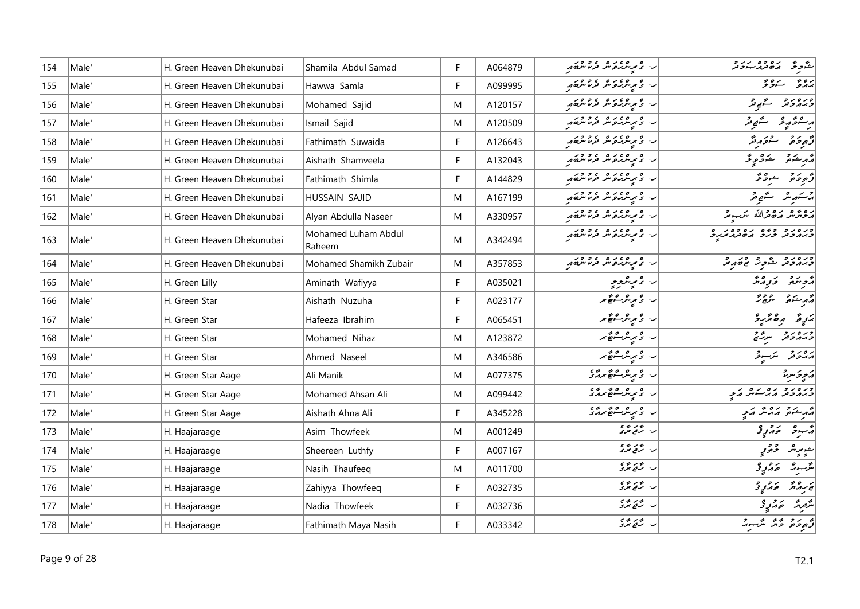| 154 | Male' | H. Green Heaven Dhekunubai | Shamila Abdul Samad           | F  | A064879 | ر و برمربرو مرد برده د       | ر ٥ ٥ ٥ ٥ ر ر و<br>پره تر پر سوتر تر<br>ستگرگر |
|-----|-------|----------------------------|-------------------------------|----|---------|------------------------------|------------------------------------------------|
| 155 | Male' | H. Green Heaven Dhekunubai | Hawwa Samla                   | F  | A099995 | ر. و پرسردوس در سرچه         | پره پر سنونو                                   |
| 156 | Male' | H. Green Heaven Dhekunubai | Mohamed Sajid                 | M  | A120157 | ر و مرسر رو و و دره برخ      | و ره ر و<br>  <i>و بر</i> پر و تر              |
| 157 | Male' | H. Green Heaven Dhekunubai | Ismail Sajid                  | M  | A120509 | ر و محمد مرکز در محمد برخانه | أوسفرة ويحر<br>ستگنج فر                        |
| 158 | Male' | H. Green Heaven Dhekunubai | Fathimath Suwaida             | F  | A126643 | ر و پرېدروند ترمانهم         | و په پر د<br>ستوكر فر                          |
| 159 | Male' | H. Green Heaven Dhekunubai | Aishath Shamveela             | F  | A132043 | ر و پرسرپوس مرسمهم           | و مرکز در<br>مرکز مشوی<br>شەۋەپ ئى             |
| 160 | Male' | H. Green Heaven Dhekunubai | Fathimath Shimla              | F  | A144829 |                              | ۇي <sub>ۇ</sub> رۇ ھەر                         |
| 161 | Male' | H. Green Heaven Dhekunubai | HUSSAIN SAJID                 | M  | A167199 | ه و و د ده د و د در د        | بر کے مر مگر کے فر                             |
| 162 | Male' | H. Green Heaven Dhekunubai | Alyan Abdulla Naseer          | M  | A330957 | ر و پرسرپوس مراسمهم          | رە بە ە رە داللە بىر بوير                      |
| 163 | Male' | H. Green Heaven Dhekunubai | Mohamed Luham Abdul<br>Raheem | M  | A342494 | ر و پر پر ده در مرد شهر      |                                                |
| 164 | Male' | H. Green Heaven Dhekunubai | Mohamed Shamikh Zubair        | M  | A357853 | ه و و د ده و د و د در د در د | ورەرو شور جەمد                                 |
| 165 | Male' | H. Green Lilly             | Aminath Wafiyya               | F. | A035021 | ر. ومرتكزوير                 | أأوسكم وتوارا                                  |
| 166 | Male' | H. Green Star              | Aishath Nuzuha                | F. | A023177 | ر، ئەيرىترىشقىر              | سرچ ش<br>پھر شک <sup>5</sup>                   |
| 167 | Male' | H. Green Star              | Hafeeza Ibrahim               | F  | A065451 | ر، گە پرىش شۇ ئىر            | برَوٍ فَرِ مِنْ الْمَرْجَةِ                    |
| 168 | Male' | H. Green Star              | Mohamed Nihaz                 | M  | A123872 | ر، گوپرىش شەھىر              | כנים ני ביית ליית<br>בגבבית ייתה               |
| 169 | Male' | H. Green Star              | Ahmed Naseel                  | M  | A346586 | ر. گە پرىگرىشقى بىر          | رەرد شەرق                                      |
| 170 | Male' | H. Green Star Aage         | Ali Manik                     | M  | A077375 | ر. و پرېرگونځ پروژ           | ړ بر په ره<br>په سر                            |
| 171 | Male' | H. Green Star Aage         | Mohamed Ahsan Ali             | M  | A099442 | ر. و پر پر شوځ پر ژو         | ورەرو روشكى كەنج                               |
| 172 | Male' | H. Green Star Aage         | Aishath Ahna Ali              | F. | A345228 | ر ، ئ مړينر شویځ مرورۍ       |                                                |
| 173 | Male' | H. Haajaraage              | Asim Thowfeek                 | M  | A001249 | ر به عربره بر<br>ر گلج مور   | أشبوعه أعرقر والمحمدة والمحمدة والمحتفظة       |
| 174 | Male' | H. Haajaraage              | Sheereen Luthfy               | F. | A007167 | ر به عربر بر بر<br>ر به مرد  | الموبر شرقي وجرير<br>الموبر المحرجوني          |
| 175 | Male' | H. Haajaraage              | Nasih Thaufeeq                | M  | A011700 | ر به عربر بر بر<br>ر به مرد  | پژسور پروژو پر                                 |
| 176 | Male' | H. Haajaraage              | Zahiyya Thowfeeq              | F  | A032735 | ر به عربر بر بر<br>ر به مرد  | پر دو پر مرد پر                                |
| 177 | Male' | H. Haajaraage              | Nadia Thowfeek                | F  | A032736 | ر به عربر بر بر<br>ر به مرد  | سُمِرِهُ يَرْدُ وَ                             |
| 178 | Male' | H. Haajaraage              | Fathimath Maya Nasih          | F  | A033342 | ر به عربی د<br>ر به مرکبه    | توجدة والمحمد المراجية                         |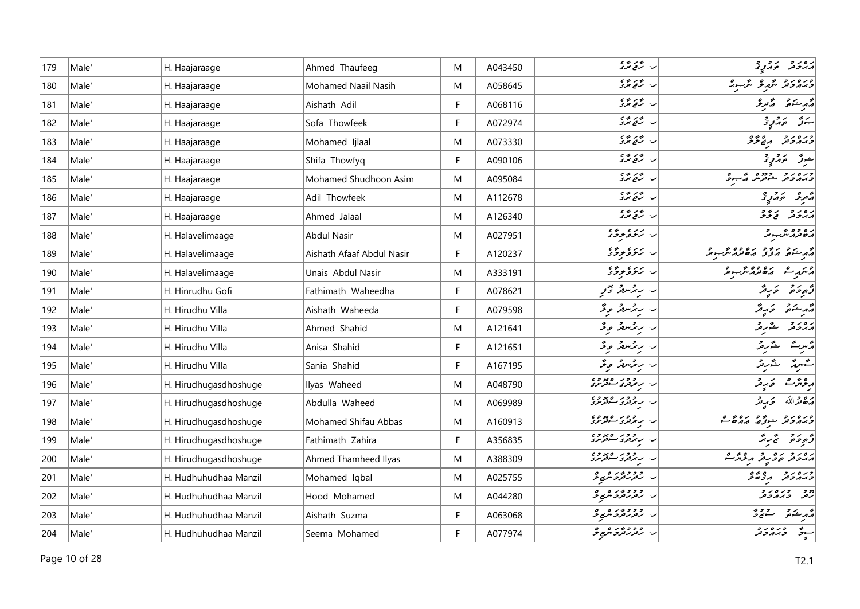| 179 | Male' | H. Haajaraage         | Ahmed Thaufeeg            | M  | A043450 | ر به عربو د<br>ر گهایمری                          | د ه د د د د د د                           |
|-----|-------|-----------------------|---------------------------|----|---------|---------------------------------------------------|-------------------------------------------|
| 180 | Male' | $ $ H. Haajaraage     | Mohamed Naail Nasih       | M  | A058645 | ر به عربر بر<br>ر گهنم توی                        | ورورو شرو شهر                             |
| 181 | Male' | H. Haajaraage         | Aishath Adil              | F  | A068116 | ر به عربو <i>ه</i><br>ر گنج بود                   | أقهر يشكم المتحرف                         |
| 182 | Male' | H. Haajaraage         | Sofa Thowfeek             | F  | A072974 | ر به عرضه                                         | بە ئەرەپى                                 |
| 183 | Male' | H. Haajaraage         | Mohamed Ijlaal            | M  | A073330 | ر به عربر بر<br>ر گلج موی                         | ورەر دەرە                                 |
| 184 | Male' | H. Haajaraage         | Shifa Thowfyq             | F  | A090106 | ر به عربه د<br>ر گهایمری                          | شوتر محمد توتر                            |
| 185 | Male' | H. Haajaraage         | Mohamed Shudhoon Asim     | M  | A095084 | ر به عربره <i>ی</i><br>ر گلج مرد                  | ور ور و دوده و در و<br>وبرورونر شونرس و ب |
| 186 | Male' | H. Haajaraage         | Adil Thowfeek             | M  | A112678 | ر به عربر بر بر<br>ر به مرتبط مور                 | أرتمر ومركز والمحمد والمحمد               |
| 187 | Male' | H. Haajaraage         | Ahmed Jalaal              | M  | A126340 | ر به عربر بر بر<br>ر به مرد                       | دەر دەر ئەنۇبۇ                            |
| 188 | Male' | H. Halavelimaage      | <b>Abdul Nasir</b>        | M  | A027951 | ر. رَرَهُ وِدُّدُ                                 | ره وه شب و<br>پرېفرو سرب                  |
| 189 | Male' | H. Halavelimaage      | Aishath Afaaf Abdul Nasir | F. | A120237 | ر. رَوَهُ وِوَّدَ                                 |                                           |
| 190 | Male' | H. Halavelimaage      | Unais Abdul Nasir         | M  | A333191 | ر. ئەنزۇردۇ                                       | התתם הסינהת-                              |
| 191 | Male' | H. Hinrudhu Gofi      | Fathimath Waheedha        | F  | A078621 | ر. سرمر سور محمور                                 | وَّجْوَحَةً وَرِثَّرَ                     |
| 192 | Male' | H. Hirudhu Villa      | Aishath Waheeda           | F  | A079598 | را ریژمنڈ وڈ                                      | أقهر خنعتى الحامريتمر                     |
| 193 | Male' | H. Hirudhu Villa      | Ahmed Shahid              | M  | A121641 | ر. ریژسنڈ وِمَّ                                   | رەر دېرىد                                 |
| 194 | Male' | H. Hirudhu Villa      | Anisa Shahid              | F  | A121651 | ر. ربز سرند و ِ وَ                                | و <i>گ</i> ېرىگە ئىگەرلىر<br>م            |
| 195 | Male' | H. Hirudhu Villa      | Sania Shahid              | F. | A167195 | ر. ریژسنڈ وِٹر                                    | ستسرير ستمريز                             |
| 196 | Male' | H. Hirudhugasdhoshuge | Ilyas Waheed              | M  | A048790 |                                                   | أرقوش أورقر                               |
| 197 | Male' | H. Hirudhugasdhoshuge | Abdulla Waheed            | M  | A069989 | <br>  در سرچرو ره مود و م                         | برە قراللە ئەبرىتر                        |
| 198 | Male' | H. Hirudhugasdhoshuge | Mohamed Shifau Abbas      | M  | A160913 | <br>  د به مرکزی سوتر دی                          |                                           |
| 199 | Male' | H. Hirudhugasdhoshuge | Fathimath Zahira          | F  | A356835 | ار . بر و و ر . ه مو و چ<br>اب . بر مرفری سوفرمری | قَرْجِرْحَمْ تَجْرَبَّرَ                  |
| 200 | Male' | H. Hirudhugasdhoshuge | Ahmed Thamheed Ilyas      | M  | A388309 | ر د د د د ه پروس<br> ر ۱ مرمزندی سونډس            | رورد روری روژه                            |
| 201 | Male' | H. Hudhuhudhaa Manzil | Mohamed Iqbal             | M  | A025755 |                                                   | وره رو وه وه<br>وبرمرفر مرقع              |
| 202 | Male' | H. Hudhuhudhaa Manzil | Hood Mohamed              | M  | A044280 |                                                   | دو وره رو<br> رتر وبرمرتر                 |
| 203 | Male' | H. Hudhuhudhaa Manzil | Aishath Suzma             | F. | A063068 | ر. دودوره ده و                                    | وكرمشكم فسيحرج                            |
| 204 | Male' | H. Hudhuhudhaa Manzil | Seema Mohamed             | F  | A077974 | ر . رود و پر ه ره و                               | سوځ وره دو                                |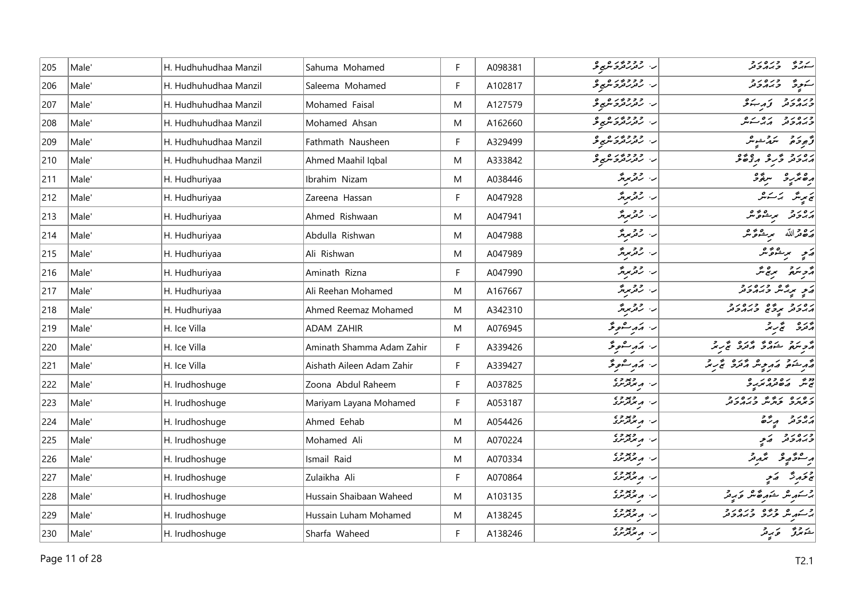| 205 | Male' | H. Hudhuhudhaa Manzil | Sahuma Mohamed            | F  | A098381 |                                                    | سے پڑی<br>ورەر د<br><i>دى</i> رمەتر       |
|-----|-------|-----------------------|---------------------------|----|---------|----------------------------------------------------|-------------------------------------------|
| 206 | Male' | H. Hudhuhudhaa Manzil | Saleema Mohamed           | F. | A102817 | ر. ووويره و و                                      | و ره ر د<br>تر پر تر تر<br> سەرچ          |
| 207 | Male' | H. Hudhuhudhaa Manzil | Mohamed Faisal            | M  | A127579 | ر دودور می و                                       | כנסגב צונהב                               |
| 208 | Male' | H. Hudhuhudhaa Manzil | Mohamed Ahsan             | M  | A162660 | ر. رودوس و و                                       | ورەرو رەپ                                 |
| 209 | Male' | H. Hudhuhudhaa Manzil | Fathmath Nausheen         | F  | A329499 | ر. رودور روم و                                     | ۇۋە ئىر ئىر                               |
| 210 | Male' | H. Hudhuhudhaa Manzil | Ahmed Maahil Iqbal        | M  | A333842 | ر. رودور روم و                                     | גפגב ביה הבפי                             |
| 211 | Male' | H. Hudhuriyaa         | Ibrahim Nizam             | M  | A038446 | ر. گەرىمەدگە                                       | وەشرىر سۆر                                |
| 212 | Male' | H. Hudhuriyaa         | Zareena Hassan            | F  | A047928 | ر، رقوبردگر                                        | ىم يېڭى ئەسكىل                            |
| 213 | Male' | H. Hudhuriyaa         | Ahmed Rishwaan            | M  | A047941 | ر. رود بردگر                                       | رەرد برىشەھ بە                            |
| 214 | Male' | H. Hudhuriyaa         | Abdulla Rishwan           | M  | A047988 | ر. گەنگەنگە                                        | ەھىراللە<br>ىر شەھ بىر                    |
| 215 | Male' | H. Hudhuriyaa         | Ali Rishwan               | M  | A047989 | ر، رقوبردگر                                        | ر<br>دي برگوگر                            |
| 216 | Male' | H. Hudhuriyaa         | Aminath Rizna             | F  | A047990 | ر، رقوبروگر                                        | وحريرة للمعالج متر                        |
| 217 | Male' | H. Hudhuriyaa         | Ali Reehan Mohamed        | M  | A167667 | ر. ژوگرېزوگر                                       | ړې بېرس دره در                            |
| 218 | Male' | H. Hudhuriyaa         | Ahmed Reemaz Mohamed      | M  | A342310 | ر. ژور پروگر                                       | גם גב תשם בגם גב<br>הגבת תבש כגהכת        |
| 219 | Male' | H. Ice Villa          | ADAM ZAHIR                | M  | A076945 | ر، مەرب ھوڭر                                       | أوره ويحرقه                               |
| 220 | Male' | H. Ice Villa          | Aminath Shamma Adam Zahir | F  | A339426 | ر به مرم مشورځه                                    | أأدينهم المنظمة المرده المرير             |
| 221 | Male' | H. Ice Villa          | Aishath Aileen Adam Zahir | F  | A339427 | ر به مرسوع و مح                                    | ومنشأة وأمرج مراورد ومراد                 |
| 222 | Male' | H. Irudhoshuge        | Zoona Abdul Raheem        | F. | A037825 | ر . پرترنری                                        | ود ده ده ده کرد و                         |
| 223 | Male' | H. Irudhoshuge        | Mariyam Layana Mohamed    | F. | A053187 | ر . پر پر د ،<br>ر . پر پر تر بر ،                 | נסנס נמש כנסנב<br>במחבר באייל במחבת       |
| 224 | Male' | H. Irudhoshuge        | Ahmed Eehab               | M  | A054426 | ر . م <i>ر پو</i> رو ،<br>ر . مر پورتری            | برەر د پرچ                                |
| 225 | Male' | H. Irudhoshuge        | Mohamed Ali               | M  | A070224 | ر مرتد و ،<br>ر . مرتد مرد                         | ورەر د كې                                 |
| 226 | Male' | H. Irudhoshuge        | Ismail Raid               | M  | A070334 | ر. <sub>مر</sub> بودی<br>ر. م <sub>ر</sub> بوتر ری | ر جۇم ئىم ئىم                             |
| 227 | Male' | H. Irudhoshuge        | Zulaikha Ali              | F. | A070864 | ر. <sub>مر</sub> بوتر د ،<br>ر                     | كالخروج أركمي                             |
| 228 | Male' | H. Irudhoshuge        | Hussain Shaibaan Waheed   | M  | A103135 | ر . ه برتر د .<br>ر . ه برتر ری                    | بر سكر شركة من المحارج بالمحر             |
| 229 | Male' | H. Irudhoshuge        | Hussain Luham Mohamed     | M  | A138245 | ر. پر دیو و ،<br>در ابر مرفر مرد                   | و کرمر و ووه وړه د و<br>پرکسر مرکز و ټرون |
| 230 | Male' | H. Irudhoshuge        | Sharfa Waheed             | F  | A138246 |                                                    | أحشعرتى الحامياته                         |
|     |       |                       |                           |    |         |                                                    |                                           |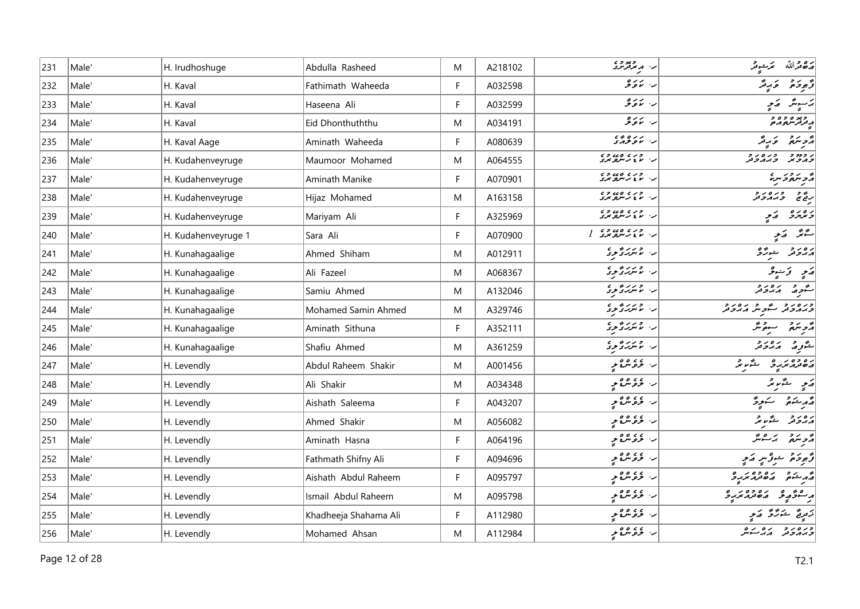| 231 | Male' | H. Irudhoshuge      | Abdulla Rasheed       | M           | A218102 | ر . م <i>ر پورو ،</i><br>ر . م <i>ر پورتری</i> | أرة فرالله تمرجونر                                                  |
|-----|-------|---------------------|-----------------------|-------------|---------|------------------------------------------------|---------------------------------------------------------------------|
| 232 | Male' | H. Kaval            | Fathimath Waheeda     | F           | A032598 | ر، ئەرگە                                       | وَّجِوحَةً وَرِيَّزَ                                                |
| 233 | Male' | H. Kaval            | Haseena Ali           | F           | A032599 | ر، ئەربى                                       | يزجينش الأمو                                                        |
| 234 | Male' | H. Kaval            | Eid Dhonthuththu      | M           | A034191 | ر، ئەرگە                                       | د و د ه و ه و و<br>د ترتر شهو د ه                                   |
| 235 | Male' | H. Kaval Aage       | Aminath Waheeda       | $\mathsf F$ | A080639 | ر روه و د<br>ر . ما و بود د                    | أزويته وكبار                                                        |
| 236 | Male' | H. Kudahenveyruge   | Maumoor Mohamed       | M           | A064555 | د - ح ر به عامده و به<br>ر - س ع کر سرچ موړ    | و ر ه ر و<br>تر پروتر<br>ן כבב כ<br><i>ב</i> וק ביוק                |
| 237 | Male' | H. Kudahenveyruge   | Aminath Manike        | F           | A070901 | د - ح ر ی ه ی و ی<br>ر - س ع ر سرچ مرد         | و محر معروف مردم<br>محمد مراجع                                      |
| 238 | Male' | H. Kudahenveyruge   | Hijaz Mohamed         | M           | A163158 | د - ح ر به عامده و به<br>ر - س ع ر سرچ مرب     | و ره ر د<br><i>د ب</i> رگرفر<br>رِ قع تح                            |
| 239 | Male' | H. Kudahenveyruge   | Mariyam Ali           | F           | A325969 | د - ور ه وه ه و ه<br>ر - ما يا مرسره مرد       | ر ه ر ه<br><del>و</del> بربرو<br>ەتىر                               |
| 240 | Male' | H. Kudahenveyruge 1 | Sara Ali              | F           | A070900 | ر. دره وړه وه 1                                | $\begin{bmatrix} 1 & 1 & 1 \\ 1 & 1 & 1 \\ 1 & 1 & 1 \end{bmatrix}$ |
| 241 | Male' | H. Kunahagaalige    | Ahmed Shiham          | M           | A012911 | ر، گەنترىرى بىرى                               | أرور و المستركز                                                     |
| 242 | Male' | H. Kunahagaalige    | Ali Fazeel            | M           | A068367 | ر، غەنزىر ئەرە                                 | ەي كەنبەنى                                                          |
| 243 | Male' | H. Kunahagaalige    | Samiu Ahmed           | M           | A132046 | ر، غەنزىرى بى                                  | شور برەرد                                                           |
| 244 | Male' | H. Kunahagaalige    | Mohamed Samin Ahmed   | M           | A329746 | ر. ئەشرىر ئەرە                                 | ورەر دېمبر مەدر                                                     |
| 245 | Male' | H. Kunahagaalige    | Aminath Sithuna       | F           | A352111 | ر، گەنترىرى ئوي                                | ومحرج المستوسر                                                      |
| 246 | Male' | H. Kunahagaalige    | Shafiu Ahmed          | M           | A361259 | ر، الأنترنديج ولا                              | شگره پره دو                                                         |
| 247 | Male' | H. Levendly         | Abdul Raheem Shakir   | M           | A001456 | ر. ئۇۋىلرىمۇم                                  | גם כסגב ביעב                                                        |
| 248 | Male' | H. Levendly         | Ali Shakir            | M           | A034348 | ر. ئۇغەنلىقچە                                  | أوسمج المتقربة                                                      |
| 249 | Male' | H. Levendly         | Aishath Saleema       | F           | A043207 | بالمحوشة مج                                    | ۇرمۇم سۈر                                                           |
| 250 | Male' | H. Levendly         | Ahmed Shakir          | M           | A056082 | ر. ئۇرۇشقۇمچە                                  | رەرد شەر                                                            |
| 251 | Male' | H. Levendly         | Aminath Hasna         | $\mathsf F$ | A064196 | ر. ئۇغەشقامچە                                  | ۇ ئەستىق ئەسكەنگە                                                   |
| 252 | Male' | H. Levendly         | Fathmath Shifny Ali   | F           | A094696 | ر. ئۇرمىنى بېر                                 | أقهومة والمسوفاس مكو                                                |
| 253 | Male' | H. Levendly         | Aishath Abdul Raheem  | F.          | A095797 | ر. ئۇۋىلرىمۇم                                  | م د ده ده ده ده د                                                   |
| 254 | Male' | H. Levendly         | Ismail Abdul Raheem   | M           | A095798 | ر. ئۇرۇشقۇم                                    | م شرقه قرار مصدر مدير قرار دارد.<br>م                               |
| 255 | Male' | H. Levendly         | Khadheeja Shahama Ali | F.          | A112980 | ر. ئۇغەشقامچە                                  | دَىرِيَّ سْرَدَّدَّ كَمَرٍ                                          |
| 256 | Male' | H. Levendly         | Mohamed Ahsan         | M           | A112984 | ر، په ۱۳۵۵ په                                  | ورەرو رەپ                                                           |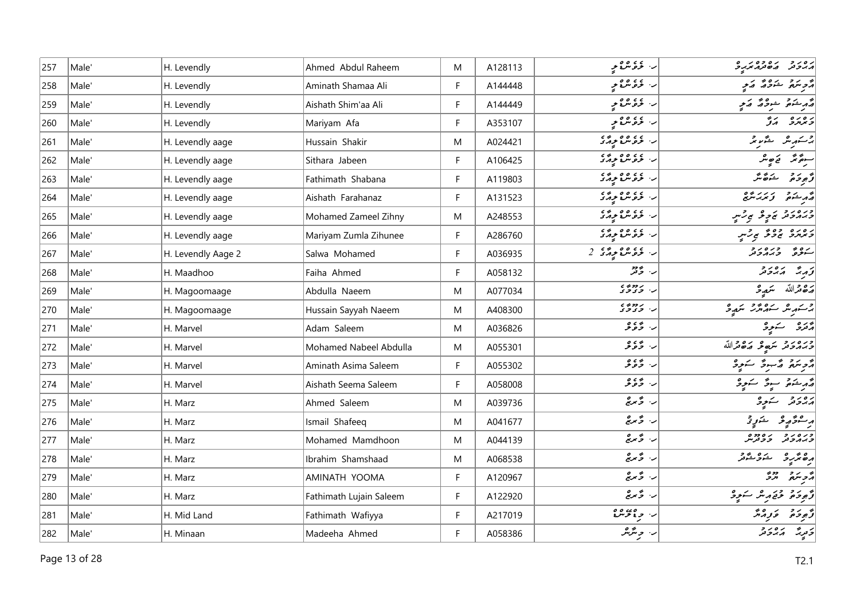| 257 | Male' | H. Levendly        | Ahmed Abdul Raheem      | M           | A128113 | ر. ئۇرمىن ئېيە                   | נפני נפיסנים<br>גגבע גםעגי <i>ג</i> גב                                            |
|-----|-------|--------------------|-------------------------|-------------|---------|----------------------------------|-----------------------------------------------------------------------------------|
| 258 | Male' | H. Levendly        | Aminath Shamaa Ali      | F.          | A144448 | ر. ده ده د                       | أأد برة الشرواة أور                                                               |
| 259 | Male' | H. Levendly        | Aishath Shim'aa Ali     | $\mathsf F$ | A144449 | ر. عء ه ه و                      | ړٌ پر شکره شود په کړم کړ                                                          |
| 260 | Male' | H. Levendly        | Mariyam Afa             | F           | A353107 | بالمحوشة وبالمعالج               | و ده در و                                                                         |
| 261 | Male' | H. Levendly aage   | Hussain Shakir          | M           | A024421 | ر وه وه و و و .<br>ر گروشه موارد | رخم مقرير                                                                         |
| 262 | Male' | H. Levendly aage   | Sithara Jabeen          | $\mathsf F$ | A106425 | ، نوه مورود .<br>رن نوه مورد .   |                                                                                   |
| 263 | Male' | H. Levendly aage   | Fathimath Shabana       | F           | A119803 | ر، نۇۋىلى ئۆلەي                  | ۇ بەر ئىق ئىر                                                                     |
| 264 | Male' | H. Levendly aage   | Aishath Farahanaz       | $\mathsf F$ | A131523 | ر. عء وه و دي                    | وكروشوه وتركرهم                                                                   |
| 265 | Male' | H. Levendly aage   | Mohamed Zameel Zihny    | M           | A248553 | ر نوه موړه وه.                   | כנסגב הבב הלית                                                                    |
| 266 | Male' | H. Levendly aage   | Mariyam Zumla Zihunee   | $\mathsf F$ | A286760 | ر، ئۇۋىتروپۇرى                   | בתחב הכל הַלְתָ                                                                   |
| 267 | Male' | H. Levendly Aage 2 | Salwa Mohamed           | F           | A036935 | ر. بوه شور پور د 2               | ر ده دره دو                                                                       |
| 268 | Male' | H. Maadhoo         | Faiha Ahmed             | F           | A058132 | ر . گەنۇ                         | $\begin{vmatrix} 2 & 2 & 2 & 2 \\ 2 & 2 & 2 & 2 \\ 2 & 2 & 2 & 2 \end{vmatrix}$   |
| 269 | Male' | H. Magoomaage      | Abdulla Naeem           | M           | A077034 | ر دوه د.<br>ر۰ و د و د           | أرة مرالله سمدي                                                                   |
| 270 | Male' | H. Magoomaage      | Hussain Sayyah Naeem    | M           | A408300 | c s n v<br>S S S S v             | י הוא הים ובסיר הו                                                                |
| 271 | Male' | H. Marvel          | Adam Saleem             | M           | A036826 | ر. گەنى بى                       | ړيو خود                                                                           |
| 272 | Male' | H. Marvel          | Mohamed Nabeel Abdulla  | M           | A055301 | ر. گەنگى                         | ورەرو برە ئەھەركە                                                                 |
| 273 | Male' | H. Marvel          | Aminath Asima Saleem    | $\mathsf F$ | A055302 | ر. گەنى ئى                       | أزويتم أأسبو المنوفر                                                              |
| 274 | Male' | H. Marvel          | Aishath Seema Saleem    | F           | A058008 | ر. گەن ھ                         | ۇرمۇق سوڭ سۇچى                                                                    |
| 275 | Male' | H. Marz            | Ahmed Saleem            | M           | A039736 | ر، گەيدى                         | ړ ور د کرو                                                                        |
| 276 | Male' | H. Marz            | Ismail Shafeeq          | M           | A041677 | ر، گەرىج                         | ر سادگ <sub>ار</sub> چې د شکور د کل                                               |
| 277 | Male' | H. Marz            | Mohamed Mamdhoon        | M           | A044139 | ر، گەيدى                         | כנסנכ נס <mark>כבם</mark><br>כ <i>ג</i> ונכ <mark>נ</mark> ג ככנ <sub>נ</sub> ייק |
| 278 | Male' | H. Marz            | Ibrahim Shamshaad       | M           | A068538 | ر، گەيدى                         | رەڭرىۋە سەۋسۇر                                                                    |
| 279 | Male' | H. Marz            | AMINATH YOOMA           | F           | A120967 | ر، گەيدى                         | ה הב יחד.<br>הקיימה יחד                                                           |
| 280 | Male' | H. Marz            | Fathimath Lujain Saleem | F.          | A122920 | ر، گەرىج                         | وتجوده وفقارش سكورة                                                               |
| 281 | Male' | H. Mid Land        | Fathimath Wafiyya       | F           | A217019 | ر. جەنجىرە                       | توجدة ورواز                                                                       |
| 282 | Male' | H. Minaan          | Madeeha Ahmed           | F           | A058386 |                                  | دَ پره دره د                                                                      |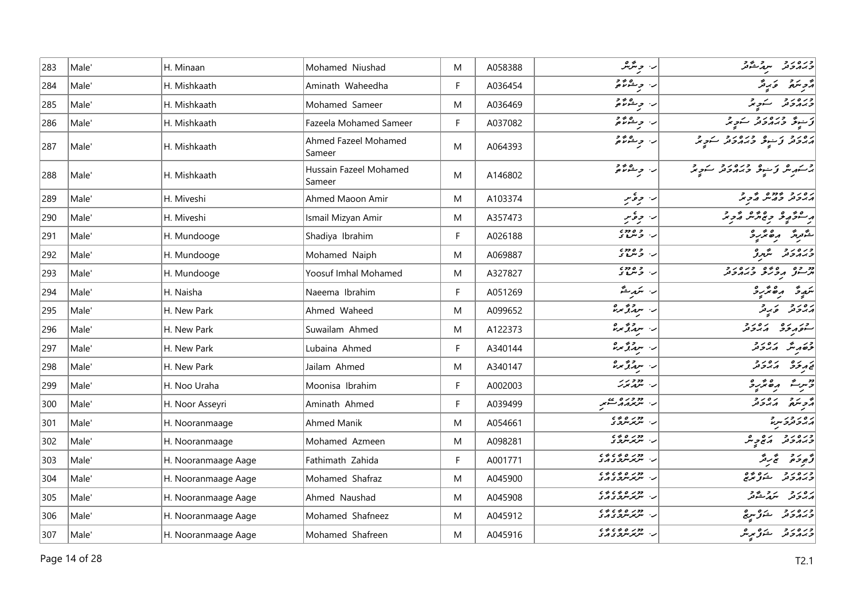| 283 | Male' | H. Minaan           | Mohamed Niushad                  | M           | A058388 | ر۰ و مگرمگر                                  | ورەرو سرقىشتر                                               |
|-----|-------|---------------------|----------------------------------|-------------|---------|----------------------------------------------|-------------------------------------------------------------|
| 284 | Male' | H. Mishkaath        | Aminath Waheedha                 | F           | A036454 | ر. وشمامی                                    | أأترجع أوسيقر                                               |
| 285 | Male' | H. Mishkaath        | Mohamed Sameer                   | M           | A036469 | ر. وشەرە                                     |                                                             |
| 286 | Male' | H. Mishkaath        | Fazeela Mohamed Sameer           | F           | A037082 | ر. وڪمائمي                                   | تخ شده وره د د سر د د                                       |
| 287 | Male' | H. Mishkaath        | Ahmed Fazeel Mohamed<br>Sameer   | M           | A064393 | لر. وېشمامو                                  | גפגב צייית כגובית ייצית                                     |
| 288 | Male' | H. Mishkaath        | Hussain Fazeel Mohamed<br>Sameer | M           | A146802 | ر. وشەنمى                                    | يمسكر يكر والملاح وبره ودوار والمتجابر                      |
| 289 | Male' | H. Miveshi          | Ahmed Maoon Amir                 | M           | A103374 | ر وءير                                       | ג סגב שבבס שייב                                             |
| 290 | Male' | H. Miveshi          | Ismail Mizyan Amir               | M           | A357473 | ر. وؤیر                                      | مر هو دو د پر د د د د د                                     |
| 291 | Male' | H. Mundooge         | Shadiya Ibrahim                  | $\mathsf F$ | A026188 | ر و ودون<br>ر کوشی ی                         | شوره رەتمرو                                                 |
| 292 | Male' | H. Mundooge         | Mohamed Naiph                    | M           | A069887 | ر . و دوه و<br>ر . و سرع ی                   | ورەر د شهرو                                                 |
| 293 | Male' | H. Mundooge         | Yoosuf Imhal Mohamed             | M           | A327827 | ر و ودوه<br>ر کامن و                         | ח כם הסים כנסנב<br>ת—נ הכניב בגהבת                          |
| 294 | Male' | H. Naisha           | Naeema Ibrahim                   | F           | A051269 | ر، سَمَعَتْ                                  | ەر ھەترىر <i>3</i><br>لىتىمەق                               |
| 295 | Male' | H. New Park         | Ahmed Waheed                     | M           | A099652 | ر. سرچ تو برنا                               | رەر دىر د<br>مەركىر كەيد                                    |
| 296 | Male' | H. New Park         | Suwailam Ahmed                   | M           | A122373 | ر. سرقر تو برنا                              | رور ره دره درو                                              |
| 297 | Male' | H. New Park         | Lubaina Ahmed                    | F           | A340144 | ر. سرچ تو پررا                               | وه شهر بره د و                                              |
| 298 | Male' | H. New Park         | Jailam Ahmed                     | M           | A340147 | ر. سرچ پورتا                                 | بر ه بر و<br>م <i>ر</i> بر <del>و</del> تر<br>ر<br>ق م مرکز |
| 299 | Male' | H. Noo Uraha        | Moonisa Ibrahim                  | F           | A002003 |                                              | ە ھەتئەر 2<br>ده سرب <sup>ست</sup> ه                        |
| 300 | Male' | H. Noor Asseyri     | Aminath Ahmed                    | F           | A039499 | ככבים שה<br>ייתיבה ה"יבייב                   | ەر ئەر تە<br>ړ ژ سره                                        |
| 301 | Male' | H. Nooranmaage      | <b>Ahmed Manik</b>               | M           | A054661 | دد بر ۵ پر ۰<br>سرپرسرچری                    | ر ہ ر در<br>ג ژ ژ تر ژ سربا                                 |
| 302 | Male' | H. Nooranmaage      | Mohamed Azmeen                   | M           | A098281 |                                              | ورەرو رەپ                                                   |
| 303 | Male' | H. Nooranmaage Aage | Fathimath Zahida                 | F           | A001771 | دور ه د د د د .<br>سرپرسرچ د د د             | وٌجوحَ حَمْ يَحْرِ مَدَّ                                    |
| 304 | Male' | H. Nooranmaage Aage | Mohamed Shafraz                  | M           | A045900 | د د ده و ه و و و و<br>ر . سرچرس و و د و      | و ر ه ر د<br>تر پر تر تر<br>ڪوڻو پڙھ                        |
| 305 | Male' | H. Nooranmaage Aage | Ahmed Naushad                    | M           | A045908 | ود ر ه ه و و و و<br>سرپرسرچر و و ی           | رەرد بەرىپەر<br>مەرى سەرشەتر                                |
| 306 | Male' | H. Nooranmaage Aage | Mohamed Shafneez                 | M           | A045912 | دور ه و د د د<br>سرچرس پر د د د              | و ر ه ر د<br>د بر پر تر<br>شەۋىبرى                          |
| 307 | Male' | H. Nooranmaage Aage | Mohamed Shafreen                 | M           | A045916 | دور ه و د د د<br>سرپرسر <del>ت</del> ر د د د | ورەرو شۇرىرىگ                                               |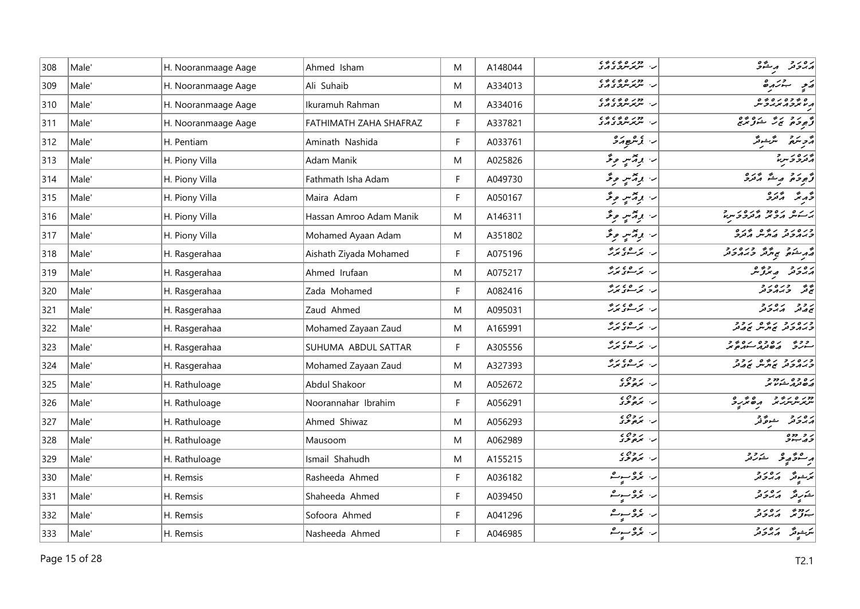| 308 | Male' | H. Nooranmaage Aage | Ahmed Isham             | M           | A148044 | د به دره وي دي.<br>رن سرچر سرچ دري | برەر دېم بەر                                       |
|-----|-------|---------------------|-------------------------|-------------|---------|------------------------------------|----------------------------------------------------|
| 309 | Male' | H. Nooranmaage Aage | Ali Suhaib              | M           | A334013 | دو ر ه ه ه ه ه ه<br>سرپرسرچ و پ    | أربح بتذره                                         |
| 310 | Male' | H. Nooranmaage Aage | Ikuramuh Rahman         | M           | A334016 | دور ه د د د د د<br>سرپرسرچ د د     | ە پە دەرەپە<br>مەنىر <i>د مەند</i> ۈش              |
| 311 | Male' | H. Nooranmaage Aage | FATHIMATH ZAHA SHAFRAZ  | F           | A337821 | دور ه و د ه و د<br>سرچرس پر د ه د  | و د د د بر شده وه<br>ژبوده نئ شریع                 |
| 312 | Male' | H. Pentiam          | Aminath Nashida         | F           | A033761 | ر. كۆشھەكە                         | ۇچرىنى ھەيدۇر                                      |
| 313 | Male' | H. Piony Villa      | Adam Manik              | M           | A025826 | ر و پژمېر و څه                     | پر ده ر<br>مرکز د کس                               |
| 314 | Male' | H. Piony Villa      | Fathmath Isha Adam      | F           | A049730 | را بوړمنېر وقته                    | و دو مث مده<br>وجوده مث مدره                       |
| 315 | Male' | H. Piony Villa      | Maira Adam              | $\mathsf F$ | A050167 | را بوړمنېو لوڅه                    | وٌ ۾ " " " " "                                     |
| 316 | Male' | H. Piony Villa      | Hassan Amroo Adam Manik | M           | A146311 | ر . بوړس وگ                        | י גם גם כם שגם ג"ב<br>ג'ייניילי דורייג דינקפיפייקט |
| 317 | Male' | H. Piony Villa      | Mohamed Ayaan Adam      | M           | A351802 | ر و پرسر و څه                      | כנסגב גם שגם<br>בגהכת התית התכ                     |
| 318 | Male' | H. Rasgerahaa       | Aishath Ziyada Mohamed  | F           | A075196 | ر، ئۆسكۈچۈش                        | م مشور به دره د د                                  |
| 319 | Male' | H. Rasgerahaa       | Ahmed Irufaan           | M           | A075217 | ر، ئۆسكۈچۈش                        | أرور و وحي                                         |
| 320 | Male' | H. Rasgerahaa       | Zada Mohamed            | F           | A082416 | ر، ئۆسۈرگەنز                       | په دره رو<br>بختر <i>دن</i> دونر                   |
| 321 | Male' | H. Rasgerahaa       | Zaud Ahmed              | M           | A095031 | ر، ئۆسۈرگەنز                       | ז כב זיט ב                                         |
| 322 | Male' | H. Rasgerahaa       | Mohamed Zayaan Zaud     | M           | A165991 | ر، ئۆسكۈچۈش                        | כנסג כ-גם ג'ככ<br>בגהכת היה הבת                    |
| 323 | Male' | H. Rasgerahaa       | SUHUMA ABDUL SATTAR     | F           | A305556 | ر، ئۆسكۈچۈش                        | ر ٥ ۶ ٥ ٥ ٧ ٥ ٠<br>پرې توپر سوړي سر<br>ر د دی      |
| 324 | Male' | H. Rasgerahaa       | Mohamed Zayaan Zaud     | M           | A327393 | ر، ئۆسكۈچۈش                        | כנסגב גם הגבר<br><i>בג</i> וגבת <u>א</u> ולייל או  |
| 325 | Male' | H. Rathuloage       | Abdul Shakoor           | M           | A052672 | ر بروم د<br>ر برونوی               | ره وه بردود<br>پره تر پر شور بر                    |
| 326 | Male' | H. Rathuloage       | Noorannahar Ibrahim     | F           | A056291 | ر د وه د<br>ر . موجود              | وە ئۆرۈ<br>وو ر ۵ ر ۵ و<br>سرپر سرسرت پر           |
| 327 | Male' | H. Rathuloage       | Ahmed Shiwaz            | M           | A056293 | ر بروم د<br>ر برونوی               | ره رو در و<br>پربروتر شودگر                        |
| 328 | Male' | H. Rathuloage       | Mausoom                 | M           | A062989 | ر بروم د<br>ر برونوی               | ر د دده<br>ژه سور                                  |
| 329 | Male' | H. Rathuloage       | Ismail Shahudh          | M           | A155215 | ر وه ،<br>ر۰ برونوی                | رەشۇرچە ھەرقە                                      |
| 330 | Male' | H. Remsis           | Rasheeda Ahmed          | F           | A036182 | ر. بروىپە                          | ترجع أرورة                                         |
| 331 | Male' | H. Remsis           | Shaheeda Ahmed          | F           | A039450 | ر، بۇۋىيەت                         | شەرىق مەردىر                                       |
| 332 | Male' | H. Remsis           | Sofoora Ahmed           | F           | A041296 | ر، بۇۋىسەم                         | ردور ره رو<br>سوتر بر مدرونر                       |
| 333 | Male' | H. Remsis           | Nasheeda Ahmed          | F           | A046985 | ر، بۇۋىيەت                         | لترجيع كالمروج                                     |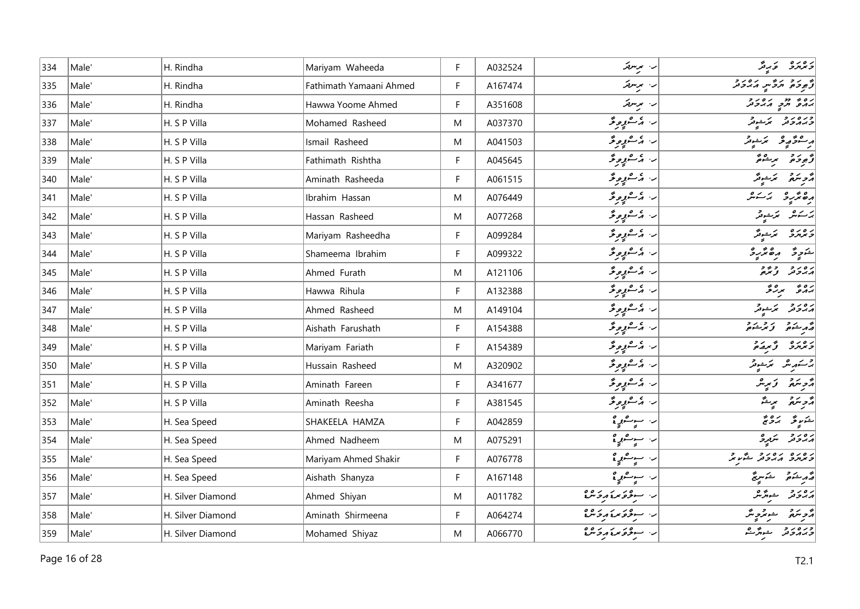| 334 | Male' | H. Rindha         | Mariyam Waheeda         | $\mathsf F$ | A032524 |                                                                                                                                                                                                                                                                                                                                                                                                                                                                                                                                                                                                     | و ۱۵ در ۱۶ د کر                                                                                                        |
|-----|-------|-------------------|-------------------------|-------------|---------|-----------------------------------------------------------------------------------------------------------------------------------------------------------------------------------------------------------------------------------------------------------------------------------------------------------------------------------------------------------------------------------------------------------------------------------------------------------------------------------------------------------------------------------------------------------------------------------------------------|------------------------------------------------------------------------------------------------------------------------|
| 335 | Male' | H. Rindha         | Fathimath Yamaani Ahmed | $\mathsf F$ | A167474 | ر. برسرتر                                                                                                                                                                                                                                                                                                                                                                                                                                                                                                                                                                                           | تحويحو المرتجس كالمرومر                                                                                                |
| 336 | Male' | H. Rindha         | Hawwa Yoome Ahmed       | F           | A351608 | ر. برسرته                                                                                                                                                                                                                                                                                                                                                                                                                                                                                                                                                                                           | پروژ دو پروژو                                                                                                          |
| 337 | Male' | H. S P Villa      | Mohamed Rasheed         | M           | A037370 | ر. ئەشۋەپچە                                                                                                                                                                                                                                                                                                                                                                                                                                                                                                                                                                                         | وره د و مر پر کرد د                                                                                                    |
| 338 | Male' | H. S P Villa      | Ismail Rasheed          | M           | A041503 | ر. كەشۈرۈنتى                                                                                                                                                                                                                                                                                                                                                                                                                                                                                                                                                                                        |                                                                                                                        |
| 339 | Male' | H. S P Villa      | Fathimath Rishtha       | $\mathsf F$ | A045645 | ر. كەشۈرۈڭ                                                                                                                                                                                                                                                                                                                                                                                                                                                                                                                                                                                          | ە سوڭەر ئەستىدىگە<br>دىستوگەر ئەستىدىگە<br>ئى ئەن ئەستىدە ئەستىدە                                                      |
| 340 | Male' | H. S P Villa      | Aminath Rasheeda        | $\mathsf F$ | A061515 | ر. كەشۈرۈڭ                                                                                                                                                                                                                                                                                                                                                                                                                                                                                                                                                                                          | أأولكم أأرشوقه                                                                                                         |
| 341 | Male' | H. S P Villa      | Ibrahim Hassan          | M           | A076449 | ر. كەشۋەپچە                                                                                                                                                                                                                                                                                                                                                                                                                                                                                                                                                                                         | رەپزىر بەسەر                                                                                                           |
| 342 | Male' | H. S P Villa      | Hassan Rasheed          | M           | A077268 | ر. ئەشروپۇ                                                                                                                                                                                                                                                                                                                                                                                                                                                                                                                                                                                          | رىكىش ئىگە يېتىشى ئىلگىنىشىشى ئىلگىچە ئىلگىچە ئىلگىچە ئىلگىچە ئىلگىچە ئىلگىچە ئىلگىچە ئىلگىچە ئىلگىچە ئىلگىچە<br>مەنبە |
| 343 | Male' | H. S P Villa      | Mariyam Rasheedha       | F           | A099284 | ر. ئەشرورۇ                                                                                                                                                                                                                                                                                                                                                                                                                                                                                                                                                                                          | د مرد د سر سورته                                                                                                       |
| 344 | Male' | H. S P Villa      | Shameema Ibrahim        | F           | A099322 | ر. ئەشۋەپەتى                                                                                                                                                                                                                                                                                                                                                                                                                                                                                                                                                                                        | أشودة المقتررة                                                                                                         |
| 345 | Male' | H. S P Villa      | Ahmed Furath            | M           | A121106 | ر. ئەش <sub>ۇھ</sub> ۇ                                                                                                                                                                                                                                                                                                                                                                                                                                                                                                                                                                              | ره رح د در                                                                                                             |
| 346 | Male' | H. S P Villa      | Hawwa Rihula            | F           | A132388 | ر. كەشۈرۈڭ                                                                                                                                                                                                                                                                                                                                                                                                                                                                                                                                                                                          | ره پورنځ                                                                                                               |
| 347 | Male' | H. S P Villa      | Ahmed Rasheed           | M           | A149104 | ر. كەشۈرۈڭ                                                                                                                                                                                                                                                                                                                                                                                                                                                                                                                                                                                          | رەرو كەھىر                                                                                                             |
| 348 | Male' | H. S P Villa      | Aishath Farushath       | F           | A154388 | ر. كەشۋەپچە                                                                                                                                                                                                                                                                                                                                                                                                                                                                                                                                                                                         | أمر و در در در د                                                                                                       |
| 349 | Male' | H. S P Villa      | Mariyam Fariath         | F           | A154389 | ر. كەشروپۇ                                                                                                                                                                                                                                                                                                                                                                                                                                                                                                                                                                                          | و وره و مهدم                                                                                                           |
| 350 | Male' | H. S P Villa      | Hussain Rasheed         | M           | A320902 | ر. كەشۋەپچە                                                                                                                                                                                                                                                                                                                                                                                                                                                                                                                                                                                         | رحم المراكز المركب وكر                                                                                                 |
| 351 | Male' | H. S P Villa      | Aminath Fareen          | F           | A341677 | ر. ئەشرورۇ                                                                                                                                                                                                                                                                                                                                                                                                                                                                                                                                                                                          | أأدمتهم وتبيش                                                                                                          |
| 352 | Male' | H. S P Villa      | Aminath Reesha          | F           | A381545 | ر. ئەشۋەپچە                                                                                                                                                                                                                                                                                                                                                                                                                                                                                                                                                                                         | أأرو منتهي أمريكم                                                                                                      |
| 353 | Male' | H. Sea Speed      | SHAKEELA HAMZA          | F           | A042859 | ر. سېشمو په                                                                                                                                                                                                                                                                                                                                                                                                                                                                                                                                                                                         | شَرِ رُ بَرْدَ بِمَ                                                                                                    |
| 354 | Male' | H. Sea Speed      | Ahmed Nadheem           | M           | A075291 | $\frac{1}{\left(\frac{1}{\epsilon}\right)^2} \sum_{\substack{\alpha \\ \beta \\ \beta}} \frac{1}{\left(\frac{1}{\epsilon}\right)^2} \sum_{\substack{\alpha \\ \beta \\ \beta \\ \beta \\ \gamma}} \frac{1}{\left(\frac{1}{\epsilon}\right)^2} \sum_{\substack{\alpha \\ \beta \\ \beta \\ \beta \\ \gamma}} \frac{1}{\left(\frac{1}{\epsilon}\right)^2} \sum_{\substack{\alpha \\ \beta \\ \beta \\ \beta \\ \gamma \\ \gamma}} \frac{1}{\left(\frac{1}{\epsilon}\right)^2} \sum_{\substack{\alpha \\ \beta \\ \beta \\ \gamma \\ \gamma \\ \gamma}} \frac{1}{\left(\frac{1}{\epsilon}\right)^2} \$ | أرور و مرتزع                                                                                                           |
| 355 | Male' | H. Sea Speed      | Mariyam Ahmed Shakir    | F           | A076778 |                                                                                                                                                                                                                                                                                                                                                                                                                                                                                                                                                                                                     | גפגם גפגב ביצע ב                                                                                                       |
| 356 | Male' | H. Sea Speed      | Aishath Shanyza         | F           | A167148 | ر. سېشب <sub>و</sub> ءِ                                                                                                                                                                                                                                                                                                                                                                                                                                                                                                                                                                             | أقرم مشكرة كالمستشريج                                                                                                  |
| 357 | Male' | H. Silver Diamond | Ahmed Shiyan            | M           | A011782 | ر سود كريم كركر من                                                                                                                                                                                                                                                                                                                                                                                                                                                                                                                                                                                  | د ه د و د شور شور شر<br>  د بر د در سور شر                                                                             |
| 358 | Male' | H. Silver Diamond | Aminath Shirmeena       | F.          | A064274 | ر سوءَ برءَ برڌ مين                                                                                                                                                                                                                                                                                                                                                                                                                                                                                                                                                                                 | أقرح سكو المستوجر يتكر                                                                                                 |
| 359 | Male' | H. Silver Diamond | Mohamed Shiyaz          | M           | A066770 | ر سوءَ برءَ بردَ مَنْ                                                                                                                                                                                                                                                                                                                                                                                                                                                                                                                                                                               | وره رو شهره ۵<br><i>وبر دو</i> ر شهرت                                                                                  |
|     |       |                   |                         |             |         |                                                                                                                                                                                                                                                                                                                                                                                                                                                                                                                                                                                                     |                                                                                                                        |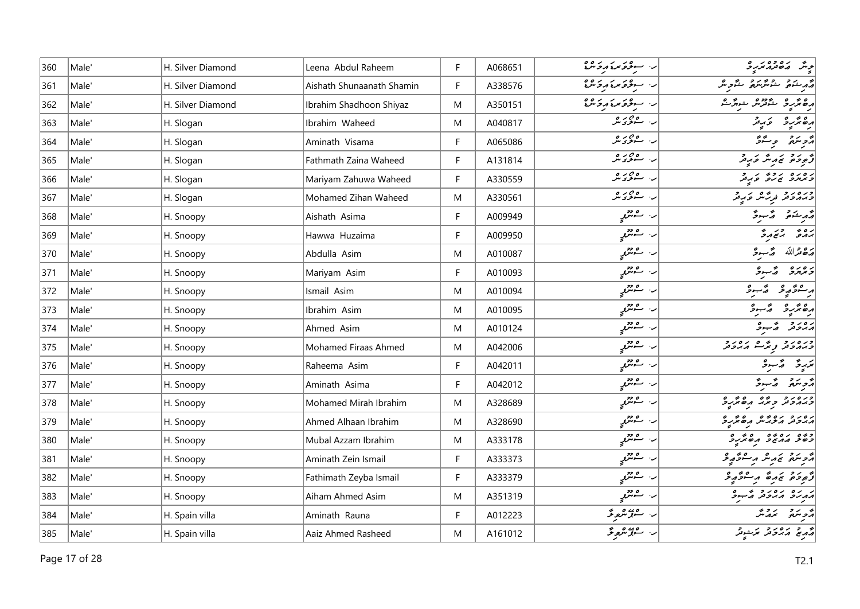| 360 | Male' | H. Silver Diamond | Leena Abdul Raheem        | F         | A068651 | ر سودة برورده            | و شهر مصر معده مورد و                       |
|-----|-------|-------------------|---------------------------|-----------|---------|--------------------------|---------------------------------------------|
| 361 | Male' | H. Silver Diamond | Aishath Shunaanath Shamin | F         | A338576 | ر سودة برورده و          | قەرشۇق شوشرىق شۇر ش                         |
| 362 | Male' | H. Silver Diamond | Ibrahim Shadhoon Shiyaz   | M         | A350151 | ر. سوۋىر، ئەرجىن         | رە ئرىرى ھەدىرى ھەرگەن<br>برە ئرىرى ھەدىرىك |
| 363 | Male' | H. Slogan         | Ibrahim Waheed            | M         | A040817 | ر، سودره                 | أرە ئۆر ئەر ئەر                             |
| 364 | Male' | H. Slogan         | Aminath Visama            | F         | A065086 | ر، سود په په             | أزويتهم وبشر                                |
| 365 | Male' | H. Slogan         | Fathmath Zaina Waheed     | F         | A131814 | ر. سەنزىر ھ              | توجوخو تمريتر وريتر                         |
| 366 | Male' | H. Slogan         | Mariyam Zahuwa Waheed     | F         | A330559 | ر. سود په                | <b>ד פינים ניכש ניברי</b>                   |
| 367 | Male' | H. Slogan         | Mohamed Zihan Waheed      | M         | A330561 | ر. سود پی                | وبرە بەد <sub>فر</sub> ر مەك ئەبەتر         |
| 368 | Male' | H. Snoopy         | Aishath Asima             | F         | A009949 | ر. ڪيتر <sub>وپه</sub>   | أقرم شكاة الأسبوق                           |
| 369 | Male' | H. Snoopy         | Hawwa Huzaima             | F         | A009950 | ر. ڪيتني                 | $5.62$ $5.2$                                |
| 370 | Male' | H. Snoopy         | Abdulla Asim              | M         | A010087 | ر. سرچينې                | مَدْ هُ قَدْ اللّهُ مُحْ سِوتْر             |
| 371 | Male' | H. Snoopy         | Mariyam Asim              | F         | A010093 | ستعتبي                   | ر ه ر ه<br><del>ر</del> بربرگر<br>رژیبه ژ   |
| 372 | Male' | H. Snoopy         | Ismail Asim               | M         | A010094 | ر. ڪوچيمو                | ىر سى <i>رۇ پە</i> تر                       |
| 373 | Male' | H. Snoopy         | Ibrahim Asim              | ${\sf M}$ | A010095 | ر. ڪيترن <sub>ي</sub>    | ەر ھەترىر <i>ۋ</i>                          |
| 374 | Male' | H. Snoopy         | Ahmed Asim                | ${\sf M}$ | A010124 | ر. ڪه چيمو               | גפיב הבייב                                  |
| 375 | Male' | H. Snoopy         | Mohamed Firaas Ahmed      | ${\sf M}$ | A042006 | ر. ڪوچڙي                 | ورەر دېگرے رەر د                            |
| 376 | Male' | H. Snoopy         | Raheema Asim              | F         | A042011 | بالمقتني                 | أتذبر قمح المجموع                           |
| 377 | Male' | H. Snoopy         | Aminath Asima             | F         | A042012 | ر. ڪيترو                 | أأوسكة أأسبو                                |
| 378 | Male' | H. Snoopy         | Mohamed Mirah Ibrahim     | M         | A328689 | ستقتني                   |                                             |
| 379 | Male' | H. Snoopy         | Ahmed Alhaan Ibrahim      | M         | A328690 | بالتحقيم                 |                                             |
| 380 | Male' | H. Snoopy         | Mubal Azzam Ibrahim       | M         | A333178 | ر. سەيترىم <sub>ىي</sub> | 0 40 0401 042<br>COL WAS COXYC              |
| 381 | Male' | H. Snoopy         | Aminath Zein Ismail       | F         | A333373 | ر. سەيترىم               | הקיימי הקייר קיירקי                         |
| 382 | Male' | H. Snoopy         | Fathimath Zeyba Ismail    | F         | A333379 | ر. ڪيترو                 | ژُودَهُ یَرهُ رِ ے وُ                       |
| 383 | Male' | H. Snoopy         | Aiham Ahmed Asim          | ${\sf M}$ | A351319 | ر. سەيترىپ               | أتهرئه المرورد المسوفر                      |
| 384 | Male' | H. Spain villa    | Aminath Rauna             | F         | A012223 | ر. سوپۇ ئىرو ئى          | أأرحم المتمار والمحمد                       |
| 385 | Male' | H. Spain villa    | Aaiz Ahmed Rasheed        | ${\sf M}$ | A161012 | ر. سوژىنرو ئ             | أحمد والمروح المراشوقر                      |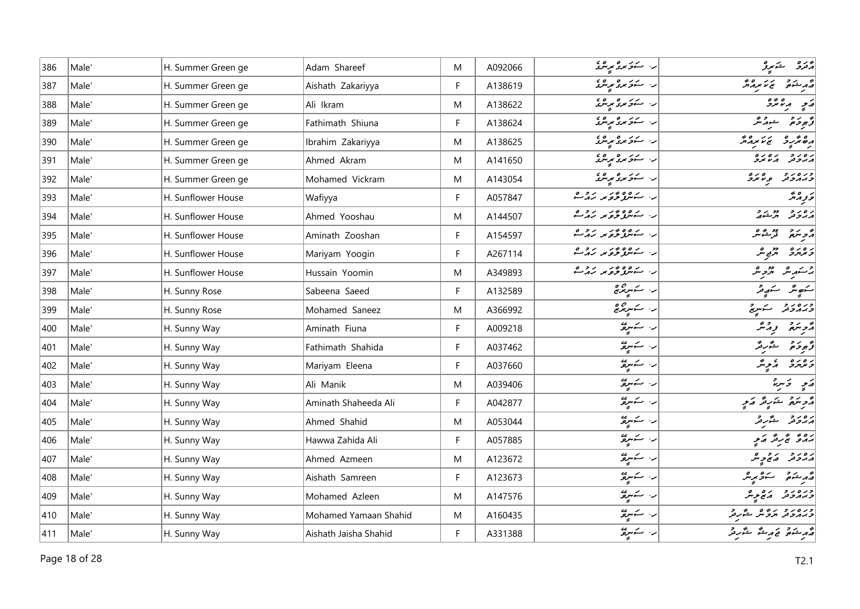| 386 | Male' | H. Summer Green ge | Adam Shareef          | M           | A092066 | ر. سەۋىرومرىرى        | أرترة شكيرتر                              |
|-----|-------|--------------------|-----------------------|-------------|---------|-----------------------|-------------------------------------------|
| 387 | Male' | H. Summer Green ge | Aishath Zakariyya     | F           | A138619 | ر. سەكەر ئەرشى        | י ז' זה ה".<br>אז זה ה"<br>ر<br>پر کر شکو |
| 388 | Male' | H. Summer Green ge | Ali Ikram             | M           | A138622 | ر. سەڭ برۇ بېرىدى     |                                           |
| 389 | Male' | H. Summer Green ge | Fathimath Shiuna      | F           | A138624 | ر. سەۋىرى بېرىش       | ژوځو شرمړ                                 |
| 390 | Male' | H. Summer Green ge | Ibrahim Zakariyya     | M           | A138625 | ر. سەكەر ئەرشى        | ە ھەترىرى<br>مەھىرىرى<br>ىچ ئەسمەر ھەشر   |
| 391 | Male' | H. Summer Green ge | Ahmed Akram           | M           | A141650 | ر. سەۋىرومرىرى        | גם גם גם גם<br>הגבה העינים                |
| 392 | Male' | H. Summer Green ge | Mohamed Vickram       | M           | A143054 | ر. سەكە ئىرى ئېرىش    | و ر ه ر د<br>تر پر ژ تر<br>ە ئە ئىرى      |
| 393 | Male' | H. Sunflower House | Wafiyya               | $\mathsf F$ | A057847 | ر. سەس ئۇتۇتتىر ئەرقى | ءَ وِ هُ هُ                               |
| 394 | Male' | H. Sunflower House | Ahmed Yooshau         | M           | A144507 | ر. سەس ئەتەبر زەر ھ   | ر ە ر د<br>م.رو تر<br>دو پر د<br>تر شدهه  |
| 395 | Male' | H. Sunflower House | Aminath Zooshan       | $\mathsf F$ | A154597 | ر. سەس ئۇتۇتەر ئەرگ   | ود مشر مر<br>فرنستر مر<br>ۇ ئەسىرە        |
| 396 | Male' | H. Sunflower House | Mariyam Yoogin        | F           | A267114 | ر. سەھرۇۋە بەر ق      | د ۱۵ د دو په مربع مربع مربع د             |
| 397 | Male' | H. Sunflower House | Hussain Yoomin        | M           | A349893 | ر. سەش ئەقرىر ئەرق    | جر سکر سکر انگر جر سگر<br>مرگ             |
| 398 | Male' | H. Sunny Rose      | Sabeena Saeed         | $\mathsf F$ | A132589 | ر، سەسرىكەمچ          | سَمِهِ شَرِ سَمْرِ مَرْ                   |
| 399 | Male' | H. Sunny Rose      | Mohamed Saneez        | M           | A366992 | ر. سەسرىكرىج          | وره دو که در                              |
| 400 | Male' | H. Sunny Way       | Aminath Fiuna         | F           | A009218 | ر. سەمبەر ئە          | أثرجر تنعم واثرتثر                        |
| 401 | Male' | H. Sunny Way       | Fathimath Shahida     | $\mathsf F$ | A037462 | ر. سەمبەرى<br>ئە      | أقرموحرة فستشرقه                          |
| 402 | Male' | H. Sunny Way       | Mariyam Eleena        | $\mathsf F$ | A037660 | ر. سەئىرىق            | دەرە ئېچىگە                               |
| 403 | Male' | H. Sunny Way       | Ali Manik             | M           | A039406 | ر. سەئىرەتچ           | أرشح أتحسر والمحمد                        |
| 404 | Male' | H. Sunny Way       | Aminath Shaheeda Ali  | F           | A042877 | ر. سەمبەرى<br>ئە      | ۇچەسىمۇ ھۆر ئەھمىي                        |
| 405 | Male' | H. Sunny Way       | Ahmed Shahid          | M           | A053044 | ر. سەسرىئە            | برەرو ئەرەر                               |
| 406 | Male' | H. Sunny Way       | Hawwa Zahida Ali      | F           | A057885 | ر. سەئىرىق            | برواقا المجارانك وكامي                    |
| 407 | Male' | H. Sunny Way       | Ahmed Azmeen          | M           | A123672 | ر. سەيبرىقە           | גף ג' ג' ג' ביית                          |
| 408 | Male' | H. Sunny Way       | Aishath Samreen       | F           | A123673 | ر. سەسرىقە            | ۇرىشقۇ سىۋىرىر                            |
| 409 | Male' | H. Sunny Way       | Mohamed Azleen        | M           | A147576 | ر. سەئىرىق            | ورەرو رەپر                                |
| 410 | Male' | H. Sunny Way       | Mohamed Yamaan Shahid | M           | A160435 | ر. سەمبەرى<br>س       | ورەرو رومى ئەر                            |
| 411 | Male' | H. Sunny Way       | Aishath Jaisha Shahid | F           | A331388 | ر. سەسرەتە            | أقهر شوه في مريش الشرير                   |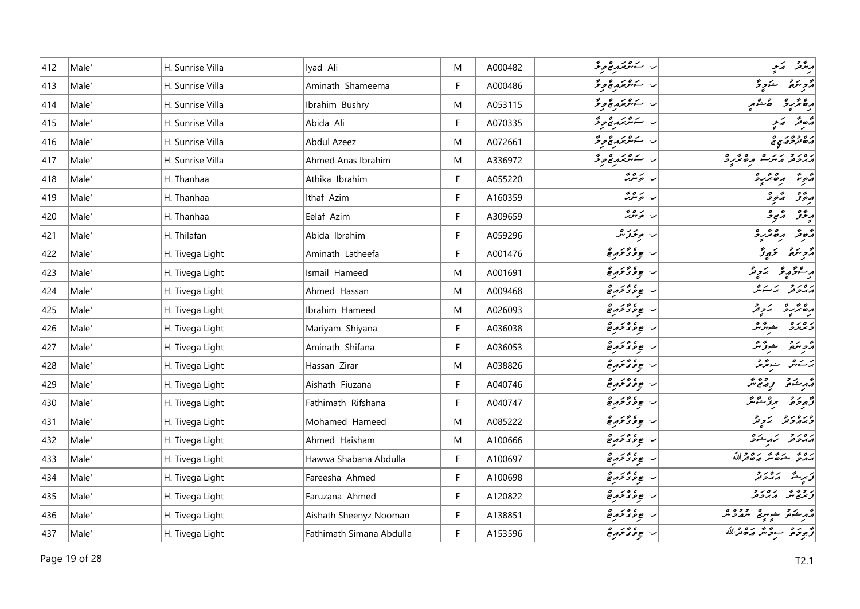| 412 | Male' | H. Sunrise Villa | lyad Ali                 | M  | A000482 | ر. سەنئە ئەرقم قوغۇ           | ەر پر تەر<br>سىسىسىسى<br>ەكمىيە                  |
|-----|-------|------------------|--------------------------|----|---------|-------------------------------|--------------------------------------------------|
| 413 | Male' | H. Sunrise Villa | Aminath Shameema         | F  | A000486 | ر. سەھەيمەم ج ئۇ              | أأترسم<br>شەرچ                                   |
| 414 | Male' | H. Sunrise Villa | Ibrahim Bushry           | M  | A053115 | ر. سەھەممەم ج <sub>ى</sub> بۇ | ە ھەترىرى<br>مەھترىرى<br>تە<br>ھەشىمىر           |
| 415 | Male' | H. Sunrise Villa | Abida Ali                | F  | A070335 | ر. سەھەبىر بىر بورگ           | ة حومً<br>ەتىر                                   |
| 416 | Male' | H. Sunrise Villa | Abdul Azeez              | M  | A072661 | ر. سەمىرىدىن يوڭر             | ره وه ر<br>مەھىر بىر مې                          |
| 417 | Male' | H. Sunrise Villa | Ahmed Anas Ibrahim       | M  | A336972 | ر. سەشرىمىدىنچ ھەتتى          | גם גב גבה הסתיבים                                |
| 418 | Male' | H. Thanhaa       | Athika Ibrahim           | F  | A055220 | ر، ئەبىرىگە                   | و و ده تر د                                      |
| 419 | Male' | H. Thanhaa       | Ithaf Azim               | F  | A160359 | ر. ئۇنىرگە                    | ەبۇر<br>رگەنى ر                                  |
| 420 | Male' | H. Thanhaa       | Eelaf Azim               | F  | A309659 | ر. پره پو                     | ويتحر<br>ومجمجر                                  |
| 421 | Male' | H. Thilafan      | Abida Ibrahim            | F  | A059296 | ر. موځوړ ش                    | و څونگه<br>د ځ<br>ەرھەترىر <sup>ى</sup>          |
| 422 | Male' | H. Tivega Light  | Aminath Latheefa         | F  | A001476 | ر و و د درو                   | ړ څر سرچ<br>ځږوتر                                |
| 423 | Male' | H. Tivega Light  | Ismail Hameed            | M  | A001691 | ر و عرو محرم و ه              | ېر شر <i>ې پې</i> تر تر تر په تر د               |
| 424 | Male' | H. Tivega Light  | Ahmed Hassan             | M  | A009468 | ر و و د څرمو                  | رەرو برىكە                                       |
| 425 | Male' | H. Tivega Light  | Ibrahim Hameed           | M  | A026093 | ر و ء و د دره                 | رە ئرىر ئىچى                                     |
| 426 | Male' | H. Tivega Light  | Mariyam Shiyana          | F  | A036038 | ر وغوځ څه وه                  | ر ہ ر ہ<br><del>ر</del> بربرد<br>شەدىگە<br>سەھەر |
| 427 | Male' | H. Tivega Light  | Aminath Shifana          | F  | A036053 |                               | ے و <i>گنگ</i> ر<br>أرمر وسرة                    |
| 428 | Male' | H. Tivega Light  | Hassan Zirar             | M  | A038826 | ر و و د څرمو                  | ىرىسەنلەر سىزىر                                  |
| 429 | Male' | H. Tivega Light  | Aishath Fiuzana          | F. | A040746 | ر و عرو محرم و                | و پرځ پتر<br>و مر شو د<br>مرکز مشو د             |
| 430 | Male' | H. Tivega Light  | Fathimath Rifshana       | F. | A040747 |                               | أزودة برزشتر                                     |
| 431 | Male' | H. Tivega Light  | Mohamed Hameed           | M  | A085222 | ر و عود محمد ه                | כנסנכ גבע                                        |
| 432 | Male' | H. Tivega Light  | Ahmed Haisham            | M  | A100666 | ر. جۇڭ ئۇرغ                   | رەرو ئەيئو                                       |
| 433 | Male' | H. Tivega Light  | Hawwa Shabana Abdulla    | F  | A100697 | ر و و د څرمو                  | برە ئەسكە ئەھەراللە                              |
| 434 | Male' | H. Tivega Light  | Fareesha Ahmed           | F  | A100698 | ر و عرو محر مربع              | وَ يَمِيتُمْ - دَيْرَوْتَر                       |
| 435 | Male' | H. Tivega Light  | Faruzana Ahmed           | F  | A120822 | ر و و د څرمو                  | ز ده پره ده د                                    |
| 436 | Male' | H. Tivega Light  | Aishath Sheenyz Nooman   | F  | A138851 | ر و و د څرمو                  | ە ئەرشەھ سىسرە سەھەت ئىر                         |
| 437 | Male' | H. Tivega Light  | Fathimath Simana Abdulla | F  | A153596 | ر و و د څرمو                  | و محمد المستقبل من الله الله                     |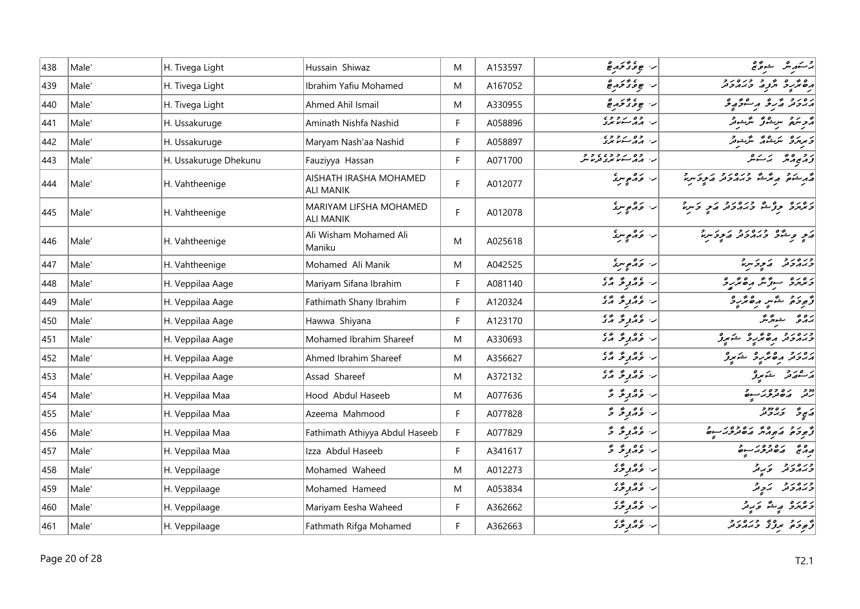| 438 | Male' | H. Tivega Light       | Hussain Shiwaz                             | M         | A153597 | ر و عرو محمد ه                               |                              |
|-----|-------|-----------------------|--------------------------------------------|-----------|---------|----------------------------------------------|------------------------------|
| 439 | Male' | H. Tivega Light       | Ibrahim Yafiu Mohamed                      | ${\sf M}$ | A167052 | ر و ع و د څرم ه                              | مصر و مردم دره در            |
| 440 | Male' | H. Tivega Light       | Ahmed Ahil Ismail                          | ${\sf M}$ | A330955 | ر و عود محمد ه                               | أرور و و رو مستوجبو          |
| 441 | Male' | H. Ussakuruge         | Aminath Nishfa Nashid                      | F         | A058896 | ر. ده رووه                                   | أأدوسهم الرسفوق الكرشوش      |
| 442 | Male' | H. Ussakuruge         | Maryam Nash'aa Nashid                      | F         | A058897 | ر. وه پرووه                                  | كالمريرى الكراشية المتراشوقر |
| 443 | Male' | H. Ussakuruge Dhekunu | Fauziyya Hassan                            | F         | A071700 | ر ده دروور ده د<br>ر . م. پرکستما مرد توما س | تروپرور برسکس                |
| 444 | Male' | H. Vahtheenige        | AISHATH IRASHA MOHAMED<br><b>ALI MANIK</b> | F         | A012077 | ر ، ءَرْه په بېرگه                           | התשים התשי כמתכת הכביתי      |
| 445 | Male' | H. Vahtheenige        | MARIYAM LIFSHA MOHAMED<br><b>ALI MANIK</b> | F         | A012078 | ر. ئۇرمۇسىد                                  | נים נים נים כנסגב בי ביינו   |
| 446 | Male' | H. Vahtheenige        | Ali Wisham Mohamed Ali<br>Maniku           | ${\sf M}$ | A025618 | ~ عَهْ هِ مِيعٌ                              | أرو وحدٌ وبرورو بروتريد      |
| 447 | Male' | H. Vahtheenige        | Mohamed Ali Manik                          | M         | A042525 | ل- عَهْرُمٍ سِرْءُ                           | כמחכת היכתית                 |
| 448 | Male' | H. Veppilaa Aage      | Mariyam Sifana Ibrahim                     | F         | A081140 | ر. ءُه بوعٌ مُنْ                             | גם גם תוצית תסתיב            |
| 449 | Male' | H. Veppilaa Aage      | Fathimath Shany Ibrahim                    | F         | A120324 | ر. ءوپرځ دی                                  | توجوج شمس مره محرر و         |
| 450 | Male' | H. Veppilaa Aage      | Hawwa Shiyana                              | F         | A123170 | ر. ءُه بوعٌ مُنْ                             | برە ئەشەر ئىس                |
| 451 | Male' | H. Veppilaa Aage      | Mohamed Ibrahim Shareef                    | M         | A330693 | ر، ءورو پر پ                                 | ورەرو مەھرىرى ئەر            |
| 452 | Male' | H. Veppilaa Aage      | Ahmed Ibrahim Shareef                      | M         | A356627 | ر. ءورځ دی                                   | ړه د د هغربو ځمړو            |
| 453 | Male' | H. Veppilaa Aage      | Assad Shareef                              | M         | A372132 | ر، ءەبور ئەن                                 | پر صرحر شوہور                |
| 454 | Male' | H. Veppilaa Maa       | Hood Abdul Haseeb                          | M         | A077636 | ر. ءو پوځ ځ                                  | נבר מספסת בי                 |
| 455 | Male' | H. Veppilaa Maa       | Azeema Mahmood                             | F         | A077828 | ر. ئۇن بۇ ئ                                  | پرېڅ د څرمرور                |
| 456 | Male' | H. Veppilaa Maa       | Fathimath Athiyya Abdul Haseeb             | F         | A077829 | ر. ءورو ڈ                                    |                              |
| 457 | Male' | H. Veppilaa Maa       | Izza Abdul Haseeb                          | F         | A341617 | ر. ئۇن بۇ ئ                                  | ره ده ده ده در د             |
| 458 | Male' | H. Veppilaage         | Mohamed Waheed                             | ${\sf M}$ | A012273 | ر، ءُه پوځه                                  | وره رو در و                  |
| 459 | Male' | H. Veppilaage         | Mohamed Hameed                             | M         | A053834 | ر، ءگە پوڭۇ                                  | ورەر دېر                     |
| 460 | Male' | H. Veppilaage         | Mariyam Eesha Waheed                       | F         | A362662 | ر. ءُە پەنتى                                 | د ډېرو په شه کابې تر         |
| 461 | Male' | H. Veppilaage         | Fathmath Rifga Mohamed                     | F         | A362663 |                                              | و دو مروته وره دو            |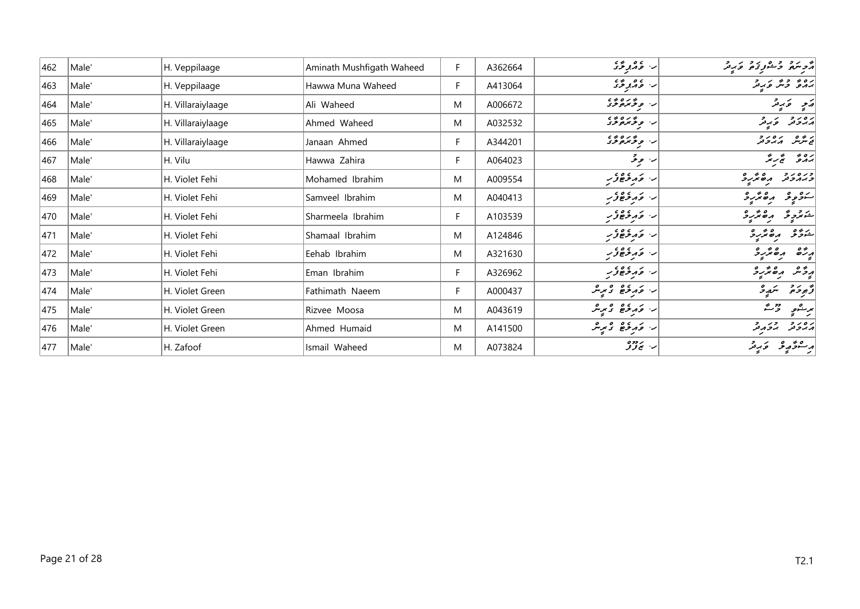| 462 | Male' | H. Veppilaage     | Aminath Mushfigath Waheed | F. | A362664 | ر، ع۵۶ پوځ                                    | أأدوسهم وحصروه ورو                                          |
|-----|-------|-------------------|---------------------------|----|---------|-----------------------------------------------|-------------------------------------------------------------|
| 463 | Male' | H. Veppilaage     | Hawwa Muna Waheed         | F  | A413064 | ر، غەچ ئەتتى                                  |                                                             |
| 464 | Male' | H. Villaraiylaage | Ali Waheed                | M  | A006672 | ر ۰ و ۶ ده و ۰<br>ر ۰ و <del>و</del> بره و د  | أتكتمت المحاسرة                                             |
| 465 | Male' | H. Villaraiylaage | Ahmed Waheed              | M  | A032532 | ر .<br>ر . و تربره تر <i>ی</i>                | رەر دىر                                                     |
| 466 | Male' | H. Villaraiylaage | Janaan Ahmed              | F  | A344201 | ر ۰ و ۶ ده و ۰<br>ر ۰ و <del>۶ ب</del> ره ۶ د | د عرهر مدر بر د د                                           |
| 467 | Male' | H. Vilu           | Hawwa Zahira              | F. | A064023 | ر . و تح                                      | رەپ پەرپە                                                   |
| 468 | Male' | H. Violet Fehi    | Mohamed Ibrahim           | M  | A009554 | ر ، ھَ پر چُھ رَ پ                            | $\circ$ $\circ$ $\circ$<br>و ر ه ر د<br>تر پر ژ تر<br>フンメめハ |
| 469 | Male' | H. Violet Fehi    | Samveel Ibrahim           | M  | A040413 | ر ، ھَ پر ڏھ وَ پ                             | سەۋەپ بۇ<br>ەھ تررو                                         |
| 470 | Male' | H. Violet Fehi    | Sharmeela Ibrahim         | F. | A103539 | ر ، ئەربۇھۇر                                  | ەھ تررۋ<br> شەئىزىرىگە                                      |
| 471 | Male' | H. Violet Fehi    | Shamaal Ibrahim           | M  | A124846 | ر ، ھَ پر چُھ رَ پ                            | ەھ ترىرى<br> شەۋىۋ                                          |
| 472 | Male' | H. Violet Fehi    | Eehab Ibrahim             | M  | A321630 | ر ، ھَ پر چُھ رَ پ                            | لوشق<br>ەھ تررۈ                                             |
| 473 | Male' | H. Violet Fehi    | Eman Ibrahim              | F. | A326962 | ر ، ئەربۇھۇر                                  | برځ شر<br>ەھ ئۈرۈ                                           |
| 474 | Male' | H. Violet Green   | Fathimath Naeem           | F  | A000437 | ر ، ءَرِ ڏَھ ءُ برِ بڻر                       | ا تو پر پر د<br>سمەچ                                        |
| 475 | Male' | H. Violet Green   | Rizvee Moosa              | M  | A043619 | ر. ئەربۇھ ئىمپىر                              | ست محر شد که ا<br> بررجمو                                   |
| 476 | Male' | H. Violet Green   | Ahmed Humaid              | M  | A141500 | ~ عَهُ دَعْ عَ مِيسْر                         | أركاح والمحرور                                              |
| 477 | Male' | H. Zafoof         | Ismail Waheed             | M  | A073824 | ر به دوه<br>ر کافرن                           | ابر مشتر <i>م پی</i> و<br>ی بر قر                           |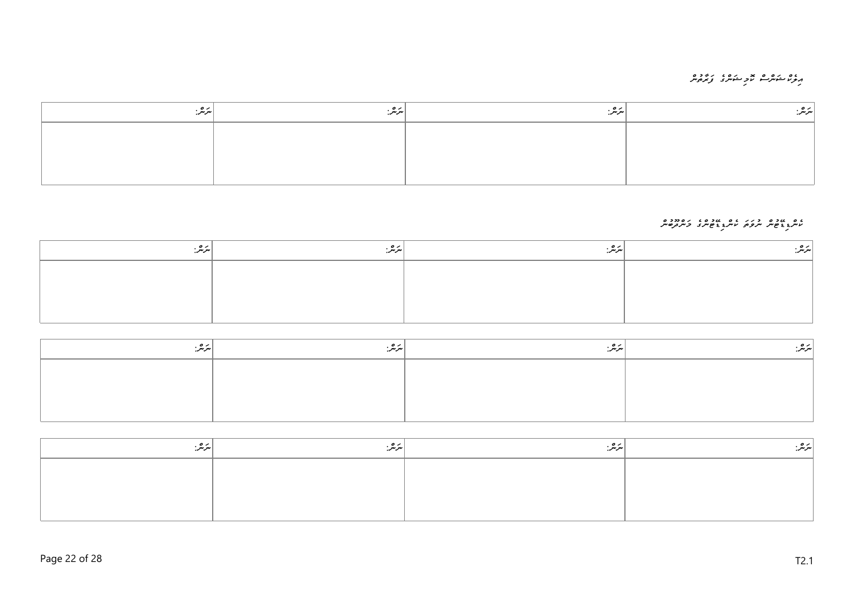## *w7qAn8m? sCw7mRo>u; wEw7mRw;sBo<*

| ' مرمر | 'يئرىثر: |
|--------|----------|
|        |          |
|        |          |
|        |          |

## *w7q9r@w7m> sCw7qHtFoFw7s; mAm=q7 w7qHtFoFw7s;*

| ىر تە | $\mathcal{O} \times$<br>$\sim$ | $\sim$<br>. . | لترنثر |
|-------|--------------------------------|---------------|--------|
|       |                                |               |        |
|       |                                |               |        |
|       |                                |               |        |

| انترنثر: | $^{\circ}$ | يبرهر | $^{\circ}$<br>سرسر |
|----------|------------|-------|--------------------|
|          |            |       |                    |
|          |            |       |                    |
|          |            |       |                    |

| يره | $\mathcal{O} \times$<br>. | $\sim$<br>سرسر | $^{\circ}$<br>مرسر |
|-----|---------------------------|----------------|--------------------|
|     |                           |                |                    |
|     |                           |                |                    |
|     |                           |                |                    |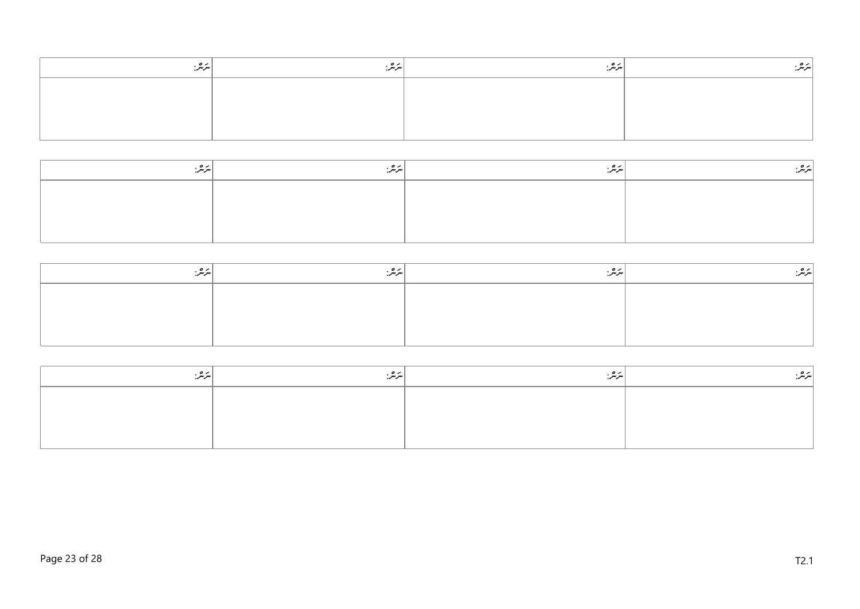| يره. | ο. | ا ير ه |  |
|------|----|--------|--|
|      |    |        |  |
|      |    |        |  |
|      |    |        |  |

| <sup>.</sup> سرسر. |  |
|--------------------|--|
|                    |  |
|                    |  |
|                    |  |

| ىرتىر: | $\sim$ | ا بر هه. | لىرىش |
|--------|--------|----------|-------|
|        |        |          |       |
|        |        |          |       |
|        |        |          |       |

| 。<br>مرس. | $\overline{\phantom{a}}$<br>مر سر | يتريثر |
|-----------|-----------------------------------|--------|
|           |                                   |        |
|           |                                   |        |
|           |                                   |        |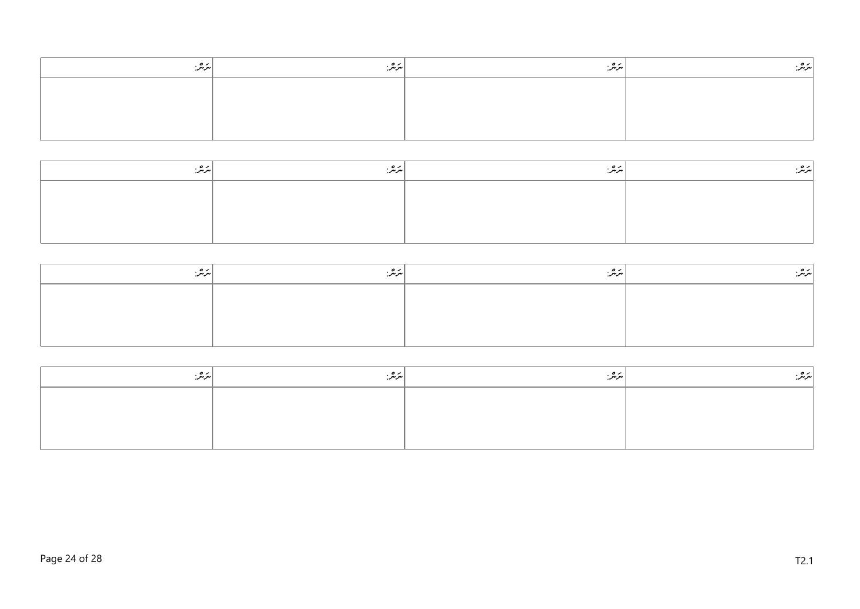| ير هو . | $\overline{\phantom{a}}$ | يرمر | اير هنه. |
|---------|--------------------------|------|----------|
|         |                          |      |          |
|         |                          |      |          |
|         |                          |      |          |

| ىر تىر: | $\circ$ $\sim$<br>" سرسر . | يبرحه | o . |
|---------|----------------------------|-------|-----|
|         |                            |       |     |
|         |                            |       |     |
|         |                            |       |     |

| انترنثر: | ر ه |  |
|----------|-----|--|
|          |     |  |
|          |     |  |
|          |     |  |

|  | . ه |
|--|-----|
|  |     |
|  |     |
|  |     |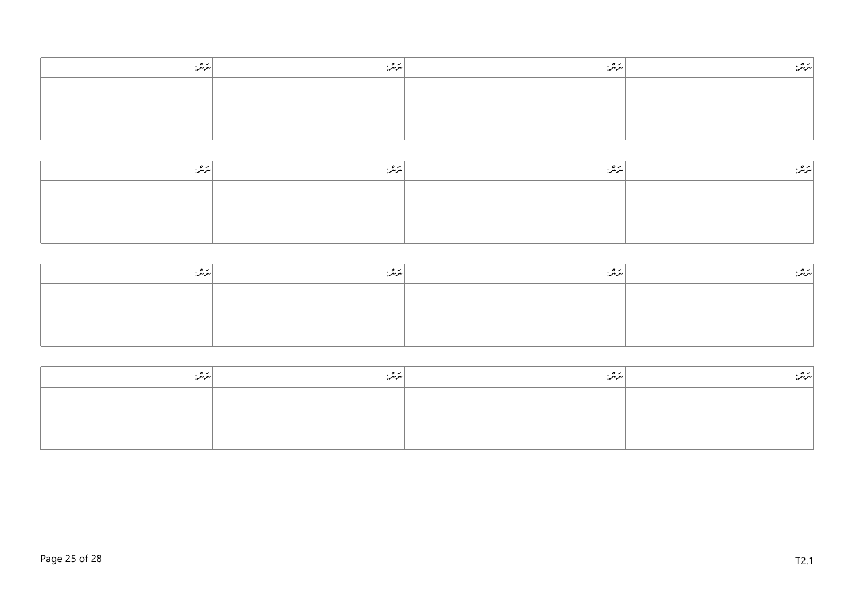| ير هو . | $\overline{\phantom{a}}$ | يرمر | اير هنه. |
|---------|--------------------------|------|----------|
|         |                          |      |          |
|         |                          |      |          |
|         |                          |      |          |

| ىر تىر: | $\circ$ $\sim$<br>" سرسر . | يبرحه | o . |
|---------|----------------------------|-------|-----|
|         |                            |       |     |
|         |                            |       |     |
|         |                            |       |     |

| انترنثر: | ر ه |  |
|----------|-----|--|
|          |     |  |
|          |     |  |
|          |     |  |

|  | . ه |
|--|-----|
|  |     |
|  |     |
|  |     |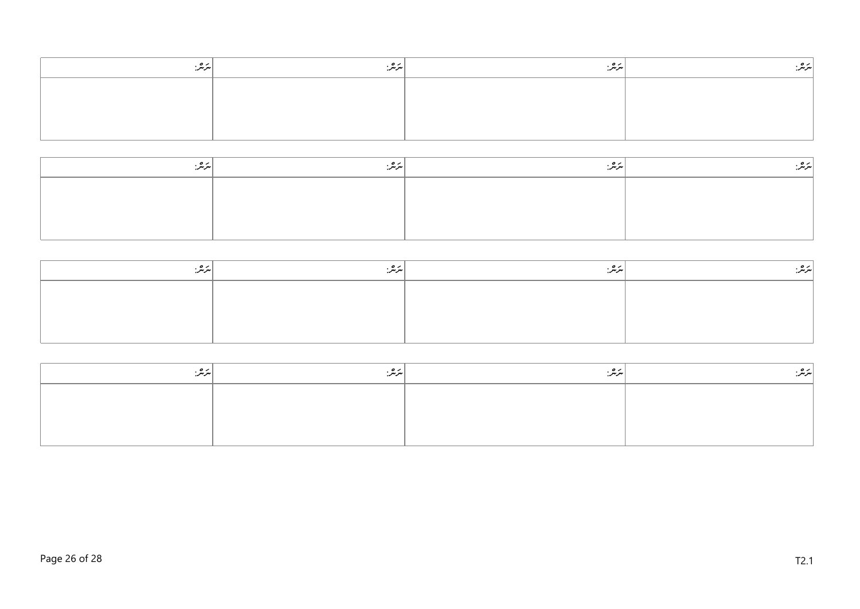| $\cdot$ | ο. | $\frac{\circ}{\cdot}$ | $\sim$<br>سرسر |
|---------|----|-----------------------|----------------|
|         |    |                       |                |
|         |    |                       |                |
|         |    |                       |                |

| يريثن | ' سرسر . |  |
|-------|----------|--|
|       |          |  |
|       |          |  |
|       |          |  |

| بر ه | 。 | $\sim$<br>َ سومس |  |
|------|---|------------------|--|
|      |   |                  |  |
|      |   |                  |  |
|      |   |                  |  |

| 。<br>. س | ىرىىر |  |
|----------|-------|--|
|          |       |  |
|          |       |  |
|          |       |  |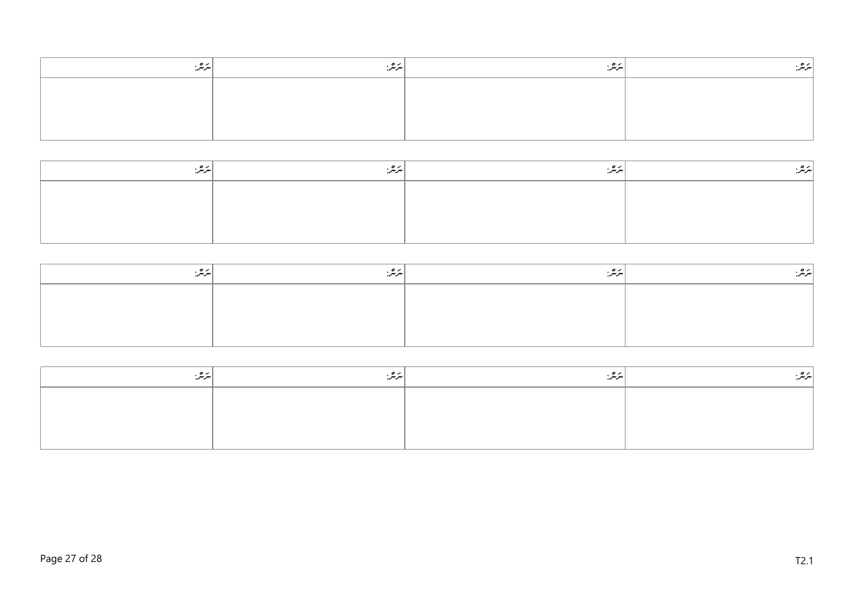| ير هو . | $\overline{\phantom{a}}$ | يرمر | لتزمثن |
|---------|--------------------------|------|--------|
|         |                          |      |        |
|         |                          |      |        |
|         |                          |      |        |

| ىر تىر: | $\circ$ $\sim$<br>" سرسر . | يبرحه | o . |
|---------|----------------------------|-------|-----|
|         |                            |       |     |
|         |                            |       |     |
|         |                            |       |     |

| 'تترنثر: | 。<br>,,,, |  |
|----------|-----------|--|
|          |           |  |
|          |           |  |
|          |           |  |

|  | . ه |
|--|-----|
|  |     |
|  |     |
|  |     |